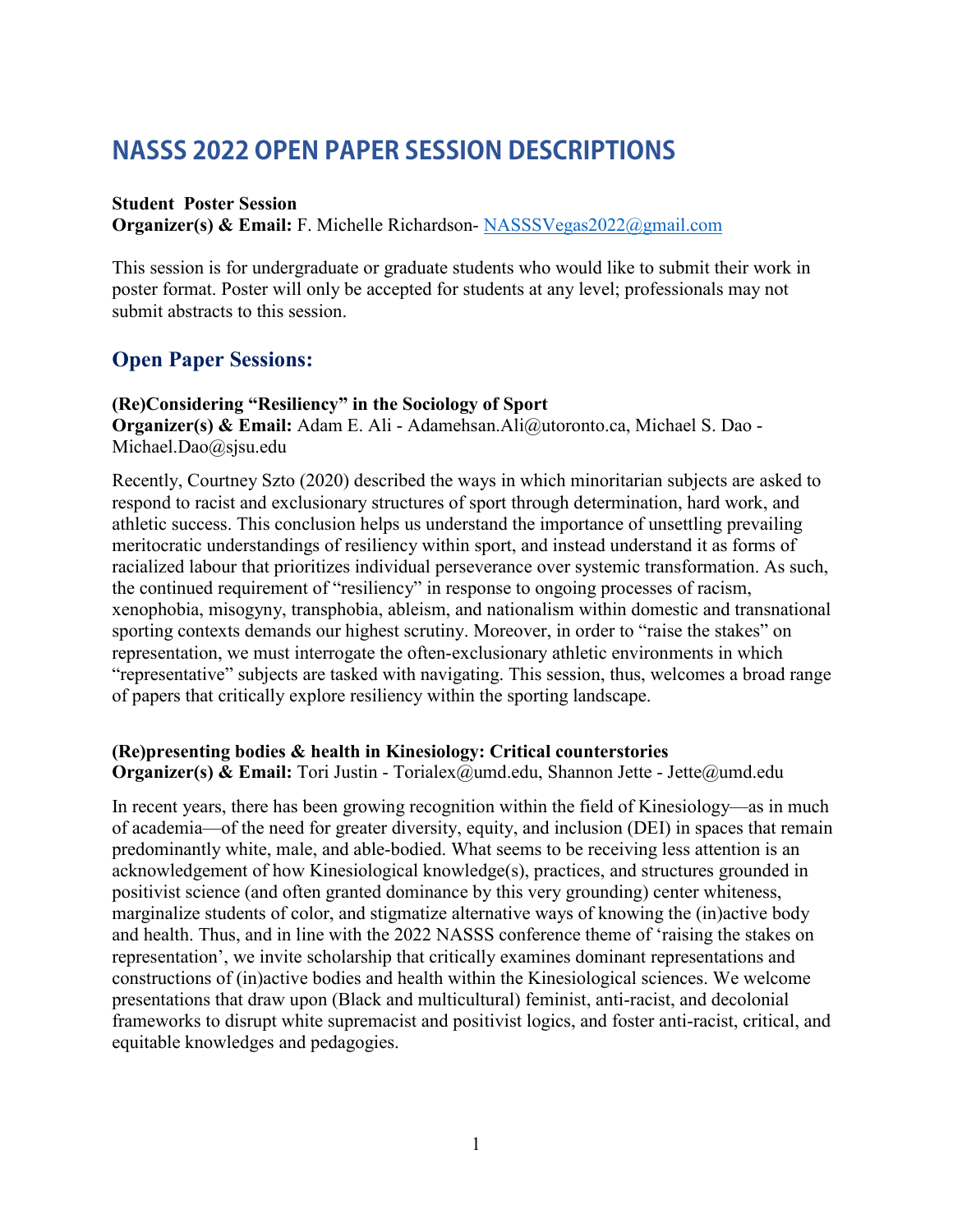# **NASSS 2022 OPEN PAPER SESSION DESCRIPTIONS**

#### **Student Poster Session**

**Organizer(s) & Email:** F. Michelle Richardson- [NASSSVegas2022@gmail.com](mailto:NASSSVegas2022@gmail.com)

This session is for undergraduate or graduate students who would like to submit their work in poster format. Poster will only be accepted for students at any level; professionals may not submit abstracts to this session.

## **Open Paper Sessions:**

#### **(Re)Considering "Resiliency" in the Sociology of Sport**

**Organizer(s) & Email:** Adam E. Ali - Adamehsan.Ali@utoronto.ca, Michael S. Dao - Michael.Dao@sjsu.edu

Recently, Courtney Szto (2020) described the ways in which minoritarian subjects are asked to respond to racist and exclusionary structures of sport through determination, hard work, and athletic success. This conclusion helps us understand the importance of unsettling prevailing meritocratic understandings of resiliency within sport, and instead understand it as forms of racialized labour that prioritizes individual perseverance over systemic transformation. As such, the continued requirement of "resiliency" in response to ongoing processes of racism, xenophobia, misogyny, transphobia, ableism, and nationalism within domestic and transnational sporting contexts demands our highest scrutiny. Moreover, in order to "raise the stakes" on representation, we must interrogate the often-exclusionary athletic environments in which "representative" subjects are tasked with navigating. This session, thus, welcomes a broad range of papers that critically explore resiliency within the sporting landscape.

## **(Re)presenting bodies & health in Kinesiology: Critical counterstories**

**Organizer(s) & Email:** Tori Justin - Torialex@umd.edu, Shannon Jette - Jette@umd.edu

In recent years, there has been growing recognition within the field of Kinesiology—as in much of academia—of the need for greater diversity, equity, and inclusion (DEI) in spaces that remain predominantly white, male, and able-bodied. What seems to be receiving less attention is an acknowledgement of how Kinesiological knowledge(s), practices, and structures grounded in positivist science (and often granted dominance by this very grounding) center whiteness, marginalize students of color, and stigmatize alternative ways of knowing the (in)active body and health. Thus, and in line with the 2022 NASSS conference theme of 'raising the stakes on representation', we invite scholarship that critically examines dominant representations and constructions of (in)active bodies and health within the Kinesiological sciences. We welcome presentations that draw upon (Black and multicultural) feminist, anti-racist, and decolonial frameworks to disrupt white supremacist and positivist logics, and foster anti-racist, critical, and equitable knowledges and pedagogies.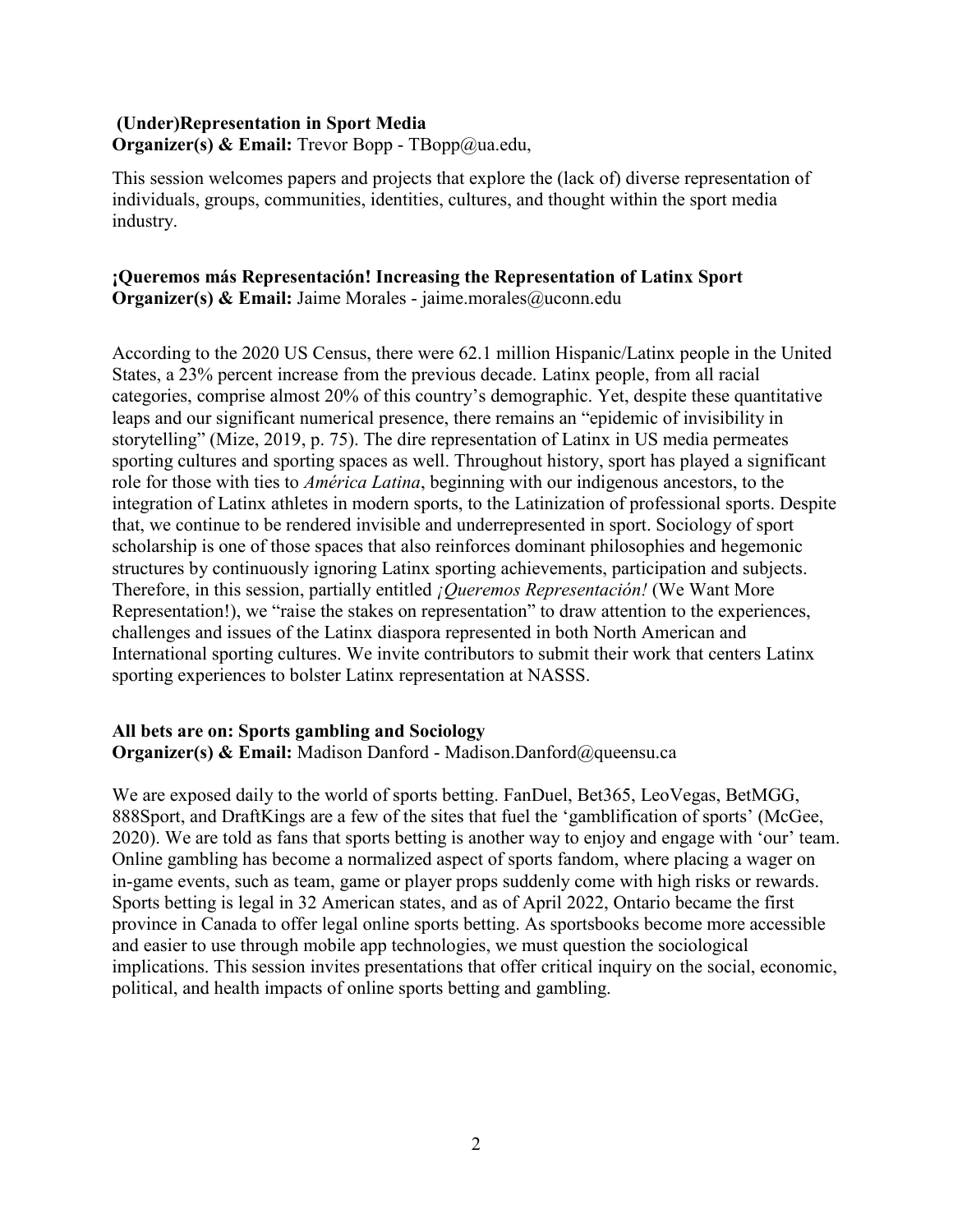## **(Under)Representation in Sport Media Organizer(s) & Email:** Trevor Bopp - TBopp@ua.edu,

This session welcomes papers and projects that explore the (lack of) diverse representation of individuals, groups, communities, identities, cultures, and thought within the sport media industry.

#### **¡Queremos más Representación! Increasing the Representation of Latinx Sport Organizer(s) & Email:** Jaime Morales - jaime.morales@uconn.edu

According to the 2020 US Census, there were 62.1 million Hispanic/Latinx people in the United States, a 23% percent increase from the previous decade. Latinx people, from all racial categories, comprise almost 20% of this country's demographic. Yet, despite these quantitative leaps and our significant numerical presence, there remains an "epidemic of invisibility in storytelling" (Mize, 2019, p. 75). The dire representation of Latinx in US media permeates sporting cultures and sporting spaces as well. Throughout history, sport has played a significant role for those with ties to *América Latina*, beginning with our indigenous ancestors, to the integration of Latinx athletes in modern sports, to the Latinization of professional sports. Despite that, we continue to be rendered invisible and underrepresented in sport. Sociology of sport scholarship is one of those spaces that also reinforces dominant philosophies and hegemonic structures by continuously ignoring Latinx sporting achievements, participation and subjects. Therefore, in this session, partially entitled *¡Queremos Representación!* (We Want More Representation!), we "raise the stakes on representation" to draw attention to the experiences, challenges and issues of the Latinx diaspora represented in both North American and International sporting cultures. We invite contributors to submit their work that centers Latinx sporting experiences to bolster Latinx representation at NASSS.

#### **All bets are on: Sports gambling and Sociology Organizer(s) & Email:** Madison Danford - Madison.Danford@queensu.ca

We are exposed daily to the world of sports betting. FanDuel, Bet365, LeoVegas, BetMGG, 888Sport, and DraftKings are a few of the sites that fuel the 'gamblification of sports' (McGee, 2020). We are told as fans that sports betting is another way to enjoy and engage with 'our' team. Online gambling has become a normalized aspect of sports fandom, where placing a wager on in-game events, such as team, game or player props suddenly come with high risks or rewards. Sports betting is legal in 32 American states, and as of April 2022, Ontario became the first province in Canada to offer legal online sports betting. As sportsbooks become more accessible and easier to use through mobile app technologies, we must question the sociological implications. This session invites presentations that offer critical inquiry on the social, economic, political, and health impacts of online sports betting and gambling.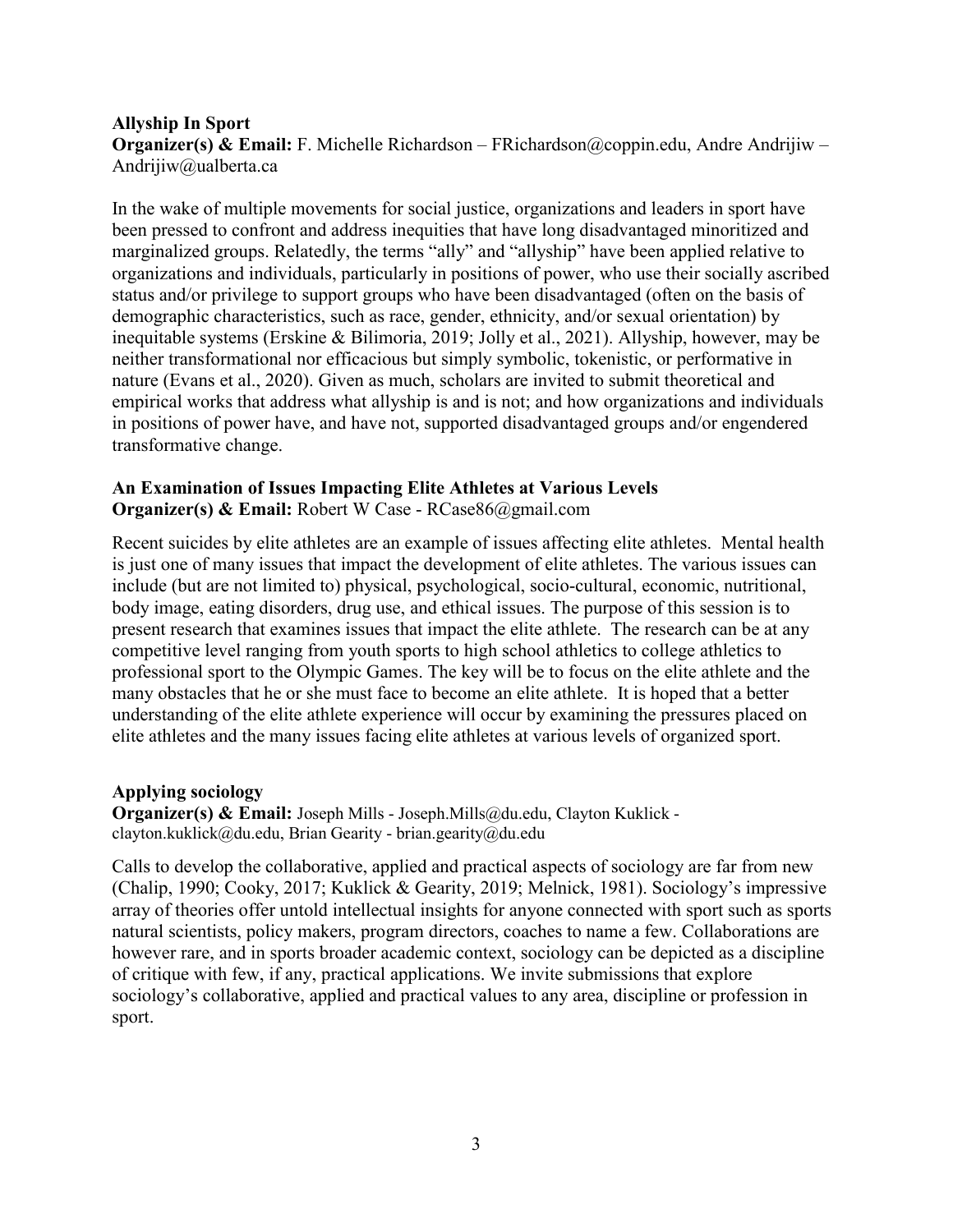#### **Allyship In Sport Organizer(s) & Email:** F. Michelle Richardson – FRichardson@coppin.edu, Andre Andrijiw – Andrijiw@ualberta.ca

In the wake of multiple movements for social justice, organizations and leaders in sport have been pressed to confront and address inequities that have long disadvantaged minoritized and marginalized groups. Relatedly, the terms "ally" and "allyship" have been applied relative to organizations and individuals, particularly in positions of power, who use their socially ascribed status and/or privilege to support groups who have been disadvantaged (often on the basis of demographic characteristics, such as race, gender, ethnicity, and/or sexual orientation) by inequitable systems (Erskine & Bilimoria, 2019; Jolly et al., 2021). Allyship, however, may be neither transformational nor efficacious but simply symbolic, tokenistic, or performative in nature (Evans et al., 2020). Given as much, scholars are invited to submit theoretical and empirical works that address what allyship is and is not; and how organizations and individuals in positions of power have, and have not, supported disadvantaged groups and/or engendered transformative change.

#### **An Examination of Issues Impacting Elite Athletes at Various Levels Organizer(s) & Email:** Robert W Case - RCase86@gmail.com

Recent suicides by elite athletes are an example of issues affecting elite athletes. Mental health is just one of many issues that impact the development of elite athletes. The various issues can include (but are not limited to) physical, psychological, socio-cultural, economic, nutritional, body image, eating disorders, drug use, and ethical issues. The purpose of this session is to present research that examines issues that impact the elite athlete. The research can be at any competitive level ranging from youth sports to high school athletics to college athletics to professional sport to the Olympic Games. The key will be to focus on the elite athlete and the many obstacles that he or she must face to become an elite athlete. It is hoped that a better understanding of the elite athlete experience will occur by examining the pressures placed on elite athletes and the many issues facing elite athletes at various levels of organized sport.

#### **Applying sociology**

**Organizer(s) & Email:** Joseph Mills - Joseph.Mills@du.edu, Clayton Kuklick clayton.kuklick@du.edu, Brian Gearity - brian.gearity@du.edu

Calls to develop the collaborative, applied and practical aspects of sociology are far from new (Chalip, 1990; Cooky, 2017; Kuklick & Gearity, 2019; Melnick, 1981). Sociology's impressive array of theories offer untold intellectual insights for anyone connected with sport such as sports natural scientists, policy makers, program directors, coaches to name a few. Collaborations are however rare, and in sports broader academic context, sociology can be depicted as a discipline of critique with few, if any, practical applications. We invite submissions that explore sociology's collaborative, applied and practical values to any area, discipline or profession in sport.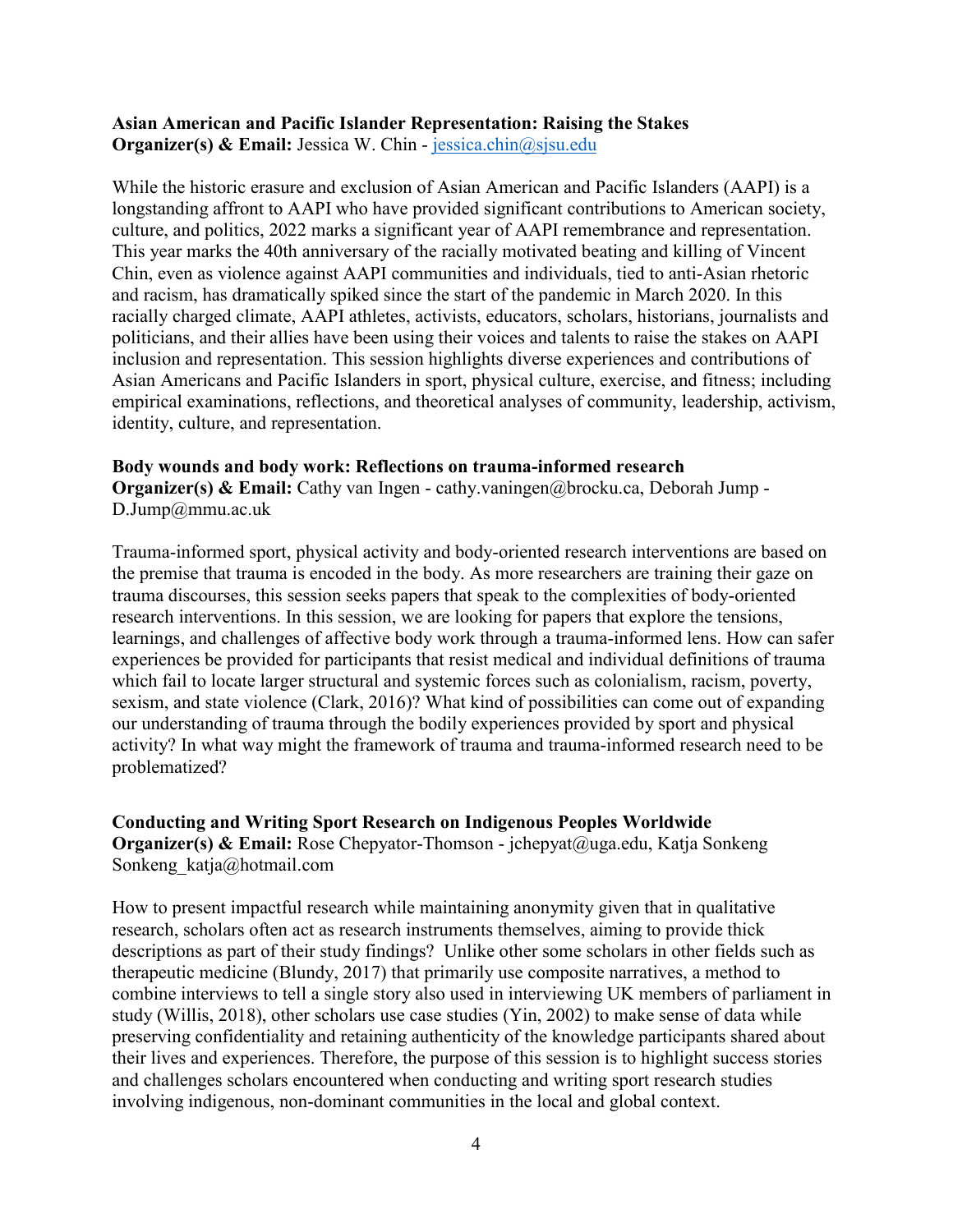#### **Asian American and Pacific Islander Representation: Raising the Stakes Organizer(s) & Email:** Jessica W. Chin - [jessica.chin@sjsu.edu](mailto:jessica.chin@sjsu.edu)

While the historic erasure and exclusion of Asian American and Pacific Islanders (AAPI) is a longstanding affront to AAPI who have provided significant contributions to American society, culture, and politics, 2022 marks a significant year of AAPI remembrance and representation. This year marks the 40th anniversary of the racially motivated beating and killing of Vincent Chin, even as violence against AAPI communities and individuals, tied to anti-Asian rhetoric and racism, has dramatically spiked since the start of the pandemic in March 2020. In this racially charged climate, AAPI athletes, activists, educators, scholars, historians, journalists and politicians, and their allies have been using their voices and talents to raise the stakes on AAPI inclusion and representation. This session highlights diverse experiences and contributions of Asian Americans and Pacific Islanders in sport, physical culture, exercise, and fitness; including empirical examinations, reflections, and theoretical analyses of community, leadership, activism, identity, culture, and representation.

#### **Body wounds and body work: Reflections on trauma-informed research**

**Organizer(s) & Email:** Cathy van Ingen - cathy.vaningen@brocku.ca, Deborah Jump -D.Jump@mmu.ac.uk

Trauma-informed sport, physical activity and body-oriented research interventions are based on the premise that trauma is encoded in the body. As more researchers are training their gaze on trauma discourses, this session seeks papers that speak to the complexities of body-oriented research interventions. In this session, we are looking for papers that explore the tensions, learnings, and challenges of affective body work through a trauma-informed lens. How can safer experiences be provided for participants that resist medical and individual definitions of trauma which fail to locate larger structural and systemic forces such as colonialism, racism, poverty, sexism, and state violence (Clark, 2016)? What kind of possibilities can come out of expanding our understanding of trauma through the bodily experiences provided by sport and physical activity? In what way might the framework of trauma and trauma-informed research need to be problematized?

## **Conducting and Writing Sport Research on Indigenous Peoples Worldwide**

**Organizer(s) & Email:** Rose Chepyator-Thomson - jchepyat@uga.edu, Katja Sonkeng Sonkeng\_katja@hotmail.com

How to present impactful research while maintaining anonymity given that in qualitative research, scholars often act as research instruments themselves, aiming to provide thick descriptions as part of their study findings? Unlike other some scholars in other fields such as therapeutic medicine (Blundy, 2017) that primarily use composite narratives, a method to combine interviews to tell a single story also used in interviewing UK members of parliament in study (Willis, 2018), other scholars use case studies (Yin, 2002) to make sense of data while preserving confidentiality and retaining authenticity of the knowledge participants shared about their lives and experiences. Therefore, the purpose of this session is to highlight success stories and challenges scholars encountered when conducting and writing sport research studies involving indigenous, non-dominant communities in the local and global context.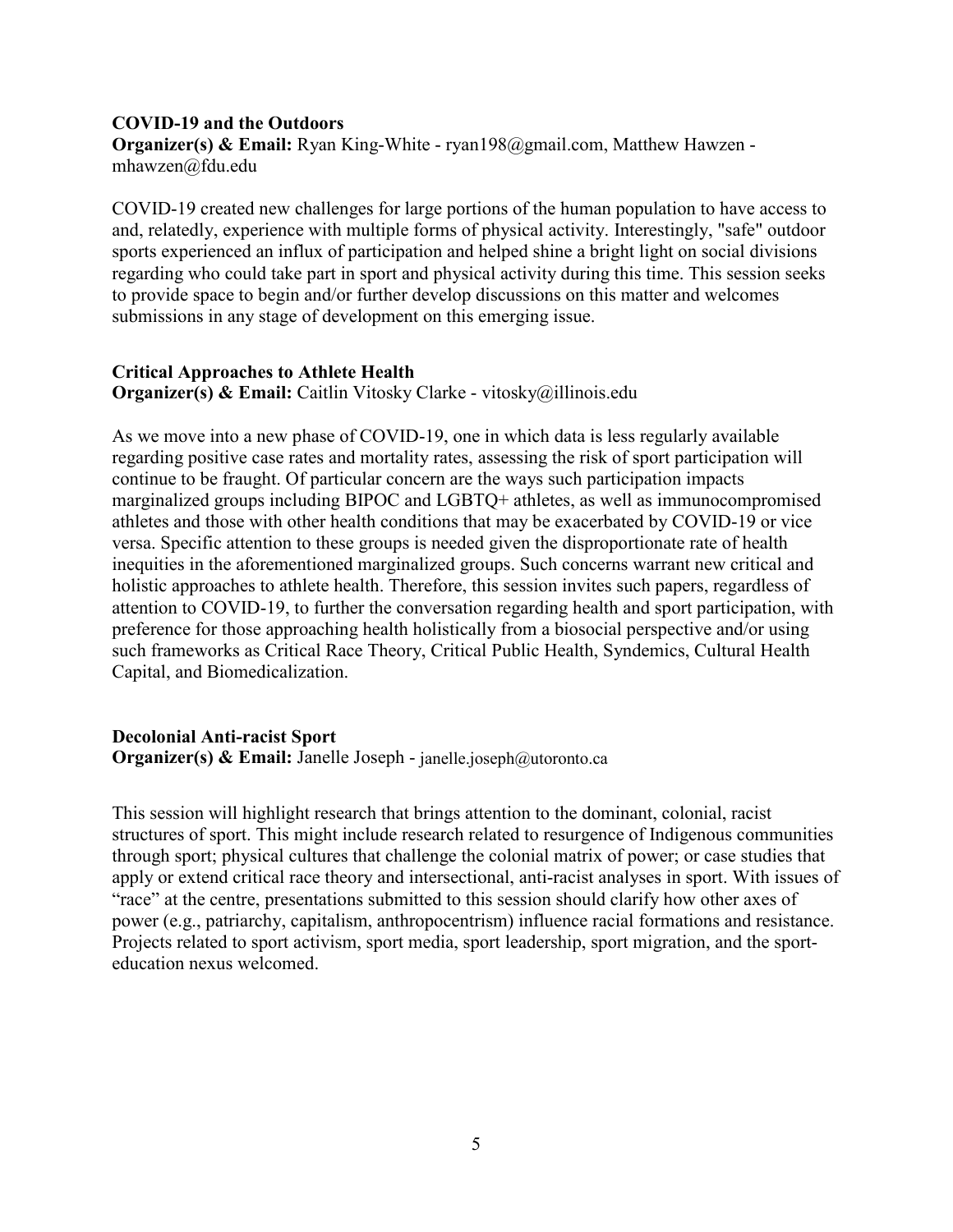#### **COVID-19 and the Outdoors**

**Organizer(s) & Email:** Ryan King-White - ryan198@gmail.com, Matthew Hawzen mhawzen@fdu.edu

COVID-19 created new challenges for large portions of the human population to have access to and, relatedly, experience with multiple forms of physical activity. Interestingly, "safe" outdoor sports experienced an influx of participation and helped shine a bright light on social divisions regarding who could take part in sport and physical activity during this time. This session seeks to provide space to begin and/or further develop discussions on this matter and welcomes submissions in any stage of development on this emerging issue.

## **Critical Approaches to Athlete Health**

**Organizer(s) & Email:** Caitlin Vitosky Clarke - vitosky@illinois.edu

As we move into a new phase of COVID-19, one in which data is less regularly available regarding positive case rates and mortality rates, assessing the risk of sport participation will continue to be fraught. Of particular concern are the ways such participation impacts marginalized groups including BIPOC and LGBTQ+ athletes, as well as immunocompromised athletes and those with other health conditions that may be exacerbated by COVID-19 or vice versa. Specific attention to these groups is needed given the disproportionate rate of health inequities in the aforementioned marginalized groups. Such concerns warrant new critical and holistic approaches to athlete health. Therefore, this session invites such papers, regardless of attention to COVID-19, to further the conversation regarding health and sport participation, with preference for those approaching health holistically from a biosocial perspective and/or using such frameworks as Critical Race Theory, Critical Public Health, Syndemics, Cultural Health Capital, and Biomedicalization.

## **Decolonial Anti-racist Sport**

**Organizer(s) & Email:** Janelle Joseph - janelle.joseph@utoronto.ca

This session will highlight research that brings attention to the dominant, colonial, racist structures of sport. This might include research related to resurgence of Indigenous communities through sport; physical cultures that challenge the colonial matrix of power; or case studies that apply or extend critical race theory and intersectional, anti-racist analyses in sport. With issues of "race" at the centre, presentations submitted to this session should clarify how other axes of power (e.g., patriarchy, capitalism, anthropocentrism) influence racial formations and resistance. Projects related to sport activism, sport media, sport leadership, sport migration, and the sporteducation nexus welcomed.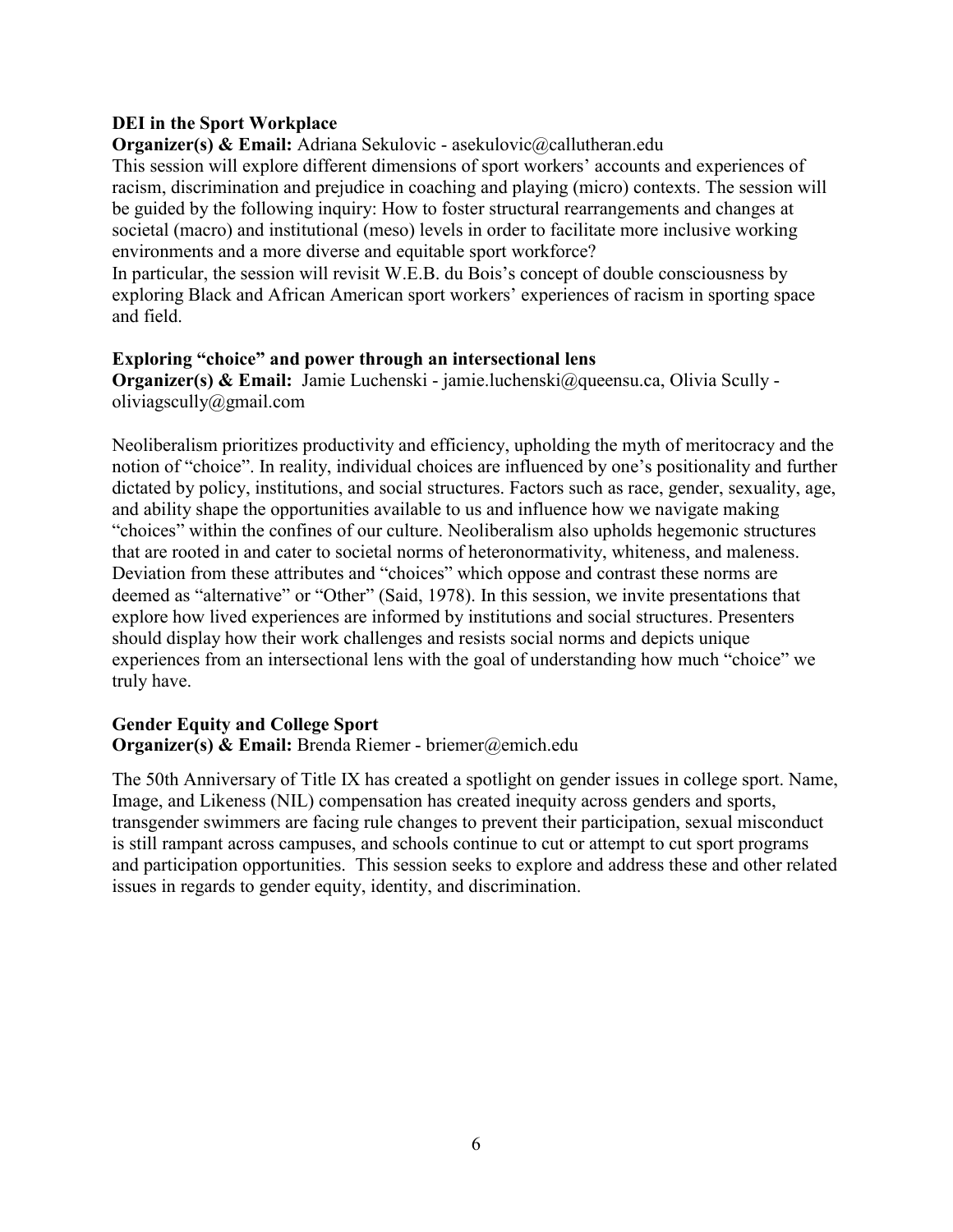## **DEI in the Sport Workplace**

**Organizer(s) & Email:** Adriana Sekulovic - asekulovic@callutheran.edu This session will explore different dimensions of sport workers' accounts and experiences of racism, discrimination and prejudice in coaching and playing (micro) contexts. The session will be guided by the following inquiry: How to foster structural rearrangements and changes at societal (macro) and institutional (meso) levels in order to facilitate more inclusive working environments and a more diverse and equitable sport workforce?

In particular, the session will revisit W.E.B. du Bois's concept of double consciousness by exploring Black and African American sport workers' experiences of racism in sporting space and field.

## **Exploring "choice" and power through an intersectional lens**

**Organizer(s) & Email:** Jamie Luchenski - jamie.luchenski@queensu.ca, Olivia Scully oliviagscully@gmail.com

Neoliberalism prioritizes productivity and efficiency, upholding the myth of meritocracy and the notion of "choice". In reality, individual choices are influenced by one's positionality and further dictated by policy, institutions, and social structures. Factors such as race, gender, sexuality, age, and ability shape the opportunities available to us and influence how we navigate making "choices" within the confines of our culture. Neoliberalism also upholds hegemonic structures that are rooted in and cater to societal norms of heteronormativity, whiteness, and maleness. Deviation from these attributes and "choices" which oppose and contrast these norms are deemed as "alternative" or "Other" (Said, 1978). In this session, we invite presentations that explore how lived experiences are informed by institutions and social structures. Presenters should display how their work challenges and resists social norms and depicts unique experiences from an intersectional lens with the goal of understanding how much "choice" we truly have.

## **Gender Equity and College Sport**

## **Organizer(s) & Email:** Brenda Riemer - briemer@emich.edu

The 50th Anniversary of Title IX has created a spotlight on gender issues in college sport. Name, Image, and Likeness (NIL) compensation has created inequity across genders and sports, transgender swimmers are facing rule changes to prevent their participation, sexual misconduct is still rampant across campuses, and schools continue to cut or attempt to cut sport programs and participation opportunities. This session seeks to explore and address these and other related issues in regards to gender equity, identity, and discrimination.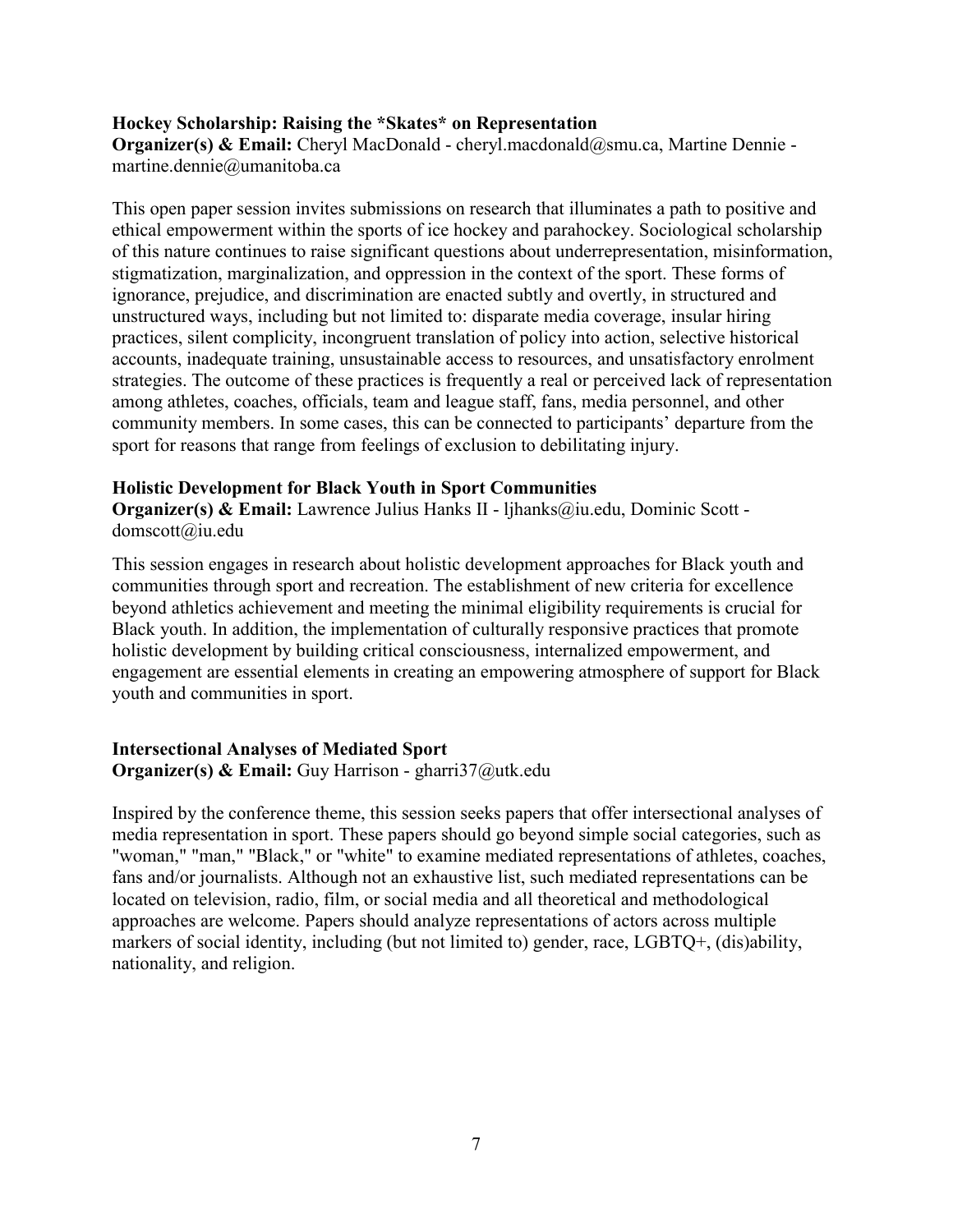#### **Hockey Scholarship: Raising the \*Skates\* on Representation**

**Organizer(s) & Email:** Cheryl MacDonald - cheryl.macdonald@smu.ca, Martine Dennie martine.dennie@umanitoba.ca

This open paper session invites submissions on research that illuminates a path to positive and ethical empowerment within the sports of ice hockey and parahockey. Sociological scholarship of this nature continues to raise significant questions about underrepresentation, misinformation, stigmatization, marginalization, and oppression in the context of the sport. These forms of ignorance, prejudice, and discrimination are enacted subtly and overtly, in structured and unstructured ways, including but not limited to: disparate media coverage, insular hiring practices, silent complicity, incongruent translation of policy into action, selective historical accounts, inadequate training, unsustainable access to resources, and unsatisfactory enrolment strategies. The outcome of these practices is frequently a real or perceived lack of representation among athletes, coaches, officials, team and league staff, fans, media personnel, and other community members. In some cases, this can be connected to participants' departure from the sport for reasons that range from feelings of exclusion to debilitating injury.

#### **Holistic Development for Black Youth in Sport Communities**

**Organizer(s) & Email:** Lawrence Julius Hanks II - ljhanks@iu.edu, Dominic Scott domscott@iu.edu

This session engages in research about holistic development approaches for Black youth and communities through sport and recreation. The establishment of new criteria for excellence beyond athletics achievement and meeting the minimal eligibility requirements is crucial for Black youth. In addition, the implementation of culturally responsive practices that promote holistic development by building critical consciousness, internalized empowerment, and engagement are essential elements in creating an empowering atmosphere of support for Black youth and communities in sport.

#### **Intersectional Analyses of Mediated Sport Organizer(s) & Email:** Guy Harrison - gharri37@utk.edu

Inspired by the conference theme, this session seeks papers that offer intersectional analyses of media representation in sport. These papers should go beyond simple social categories, such as "woman," "man," "Black," or "white" to examine mediated representations of athletes, coaches, fans and/or journalists. Although not an exhaustive list, such mediated representations can be located on television, radio, film, or social media and all theoretical and methodological approaches are welcome. Papers should analyze representations of actors across multiple markers of social identity, including (but not limited to) gender, race, LGBTQ+, (dis)ability, nationality, and religion.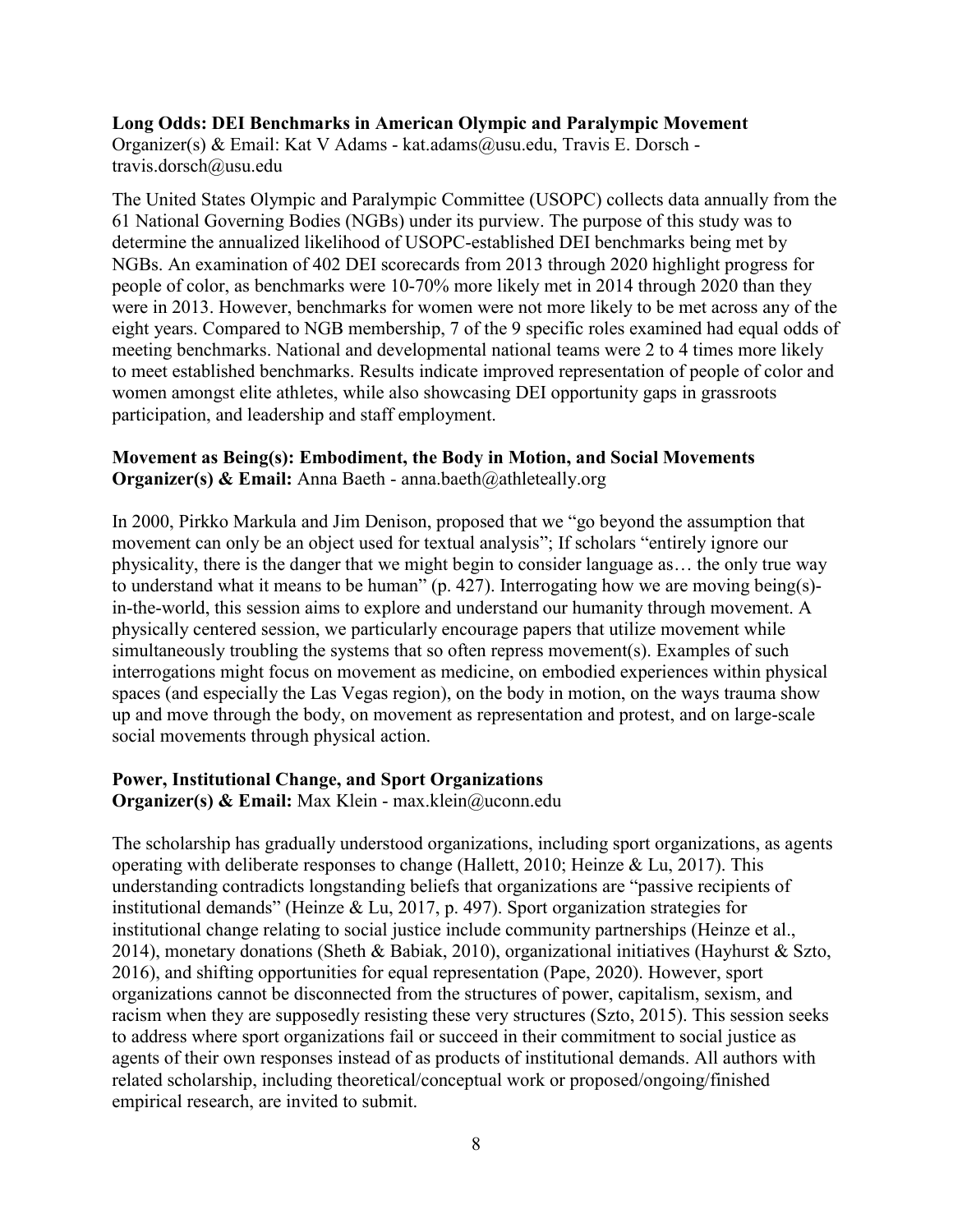#### **Long Odds: DEI Benchmarks in American Olympic and Paralympic Movement**

Organizer(s) & Email: Kat V Adams - kat.adams@usu.edu, Travis E. Dorsch travis.dorsch@usu.edu

The United States Olympic and Paralympic Committee (USOPC) collects data annually from the 61 National Governing Bodies (NGBs) under its purview. The purpose of this study was to determine the annualized likelihood of USOPC-established DEI benchmarks being met by NGBs. An examination of 402 DEI scorecards from 2013 through 2020 highlight progress for people of color, as benchmarks were 10-70% more likely met in 2014 through 2020 than they were in 2013. However, benchmarks for women were not more likely to be met across any of the eight years. Compared to NGB membership, 7 of the 9 specific roles examined had equal odds of meeting benchmarks. National and developmental national teams were 2 to 4 times more likely to meet established benchmarks. Results indicate improved representation of people of color and women amongst elite athletes, while also showcasing DEI opportunity gaps in grassroots participation, and leadership and staff employment.

#### **Movement as Being(s): Embodiment, the Body in Motion, and Social Movements Organizer(s) & Email:** Anna Baeth - anna.baeth@athleteally.org

In 2000, Pirkko Markula and Jim Denison, proposed that we "go beyond the assumption that movement can only be an object used for textual analysis"; If scholars "entirely ignore our physicality, there is the danger that we might begin to consider language as… the only true way to understand what it means to be human" (p. 427). Interrogating how we are moving being(s) in-the-world, this session aims to explore and understand our humanity through movement. A physically centered session, we particularly encourage papers that utilize movement while simultaneously troubling the systems that so often repress movement(s). Examples of such interrogations might focus on movement as medicine, on embodied experiences within physical spaces (and especially the Las Vegas region), on the body in motion, on the ways trauma show up and move through the body, on movement as representation and protest, and on large-scale social movements through physical action.

#### **Power, Institutional Change, and Sport Organizations**

**Organizer(s) & Email:** Max Klein - max.klein@uconn.edu

The scholarship has gradually understood organizations, including sport organizations, as agents operating with deliberate responses to change (Hallett, 2010; Heinze & Lu, 2017). This understanding contradicts longstanding beliefs that organizations are "passive recipients of institutional demands" (Heinze & Lu, 2017, p. 497). Sport organization strategies for institutional change relating to social justice include community partnerships (Heinze et al., 2014), monetary donations (Sheth & Babiak, 2010), organizational initiatives (Hayhurst & Szto, 2016), and shifting opportunities for equal representation (Pape, 2020). However, sport organizations cannot be disconnected from the structures of power, capitalism, sexism, and racism when they are supposedly resisting these very structures (Szto, 2015). This session seeks to address where sport organizations fail or succeed in their commitment to social justice as agents of their own responses instead of as products of institutional demands. All authors with related scholarship, including theoretical/conceptual work or proposed/ongoing/finished empirical research, are invited to submit.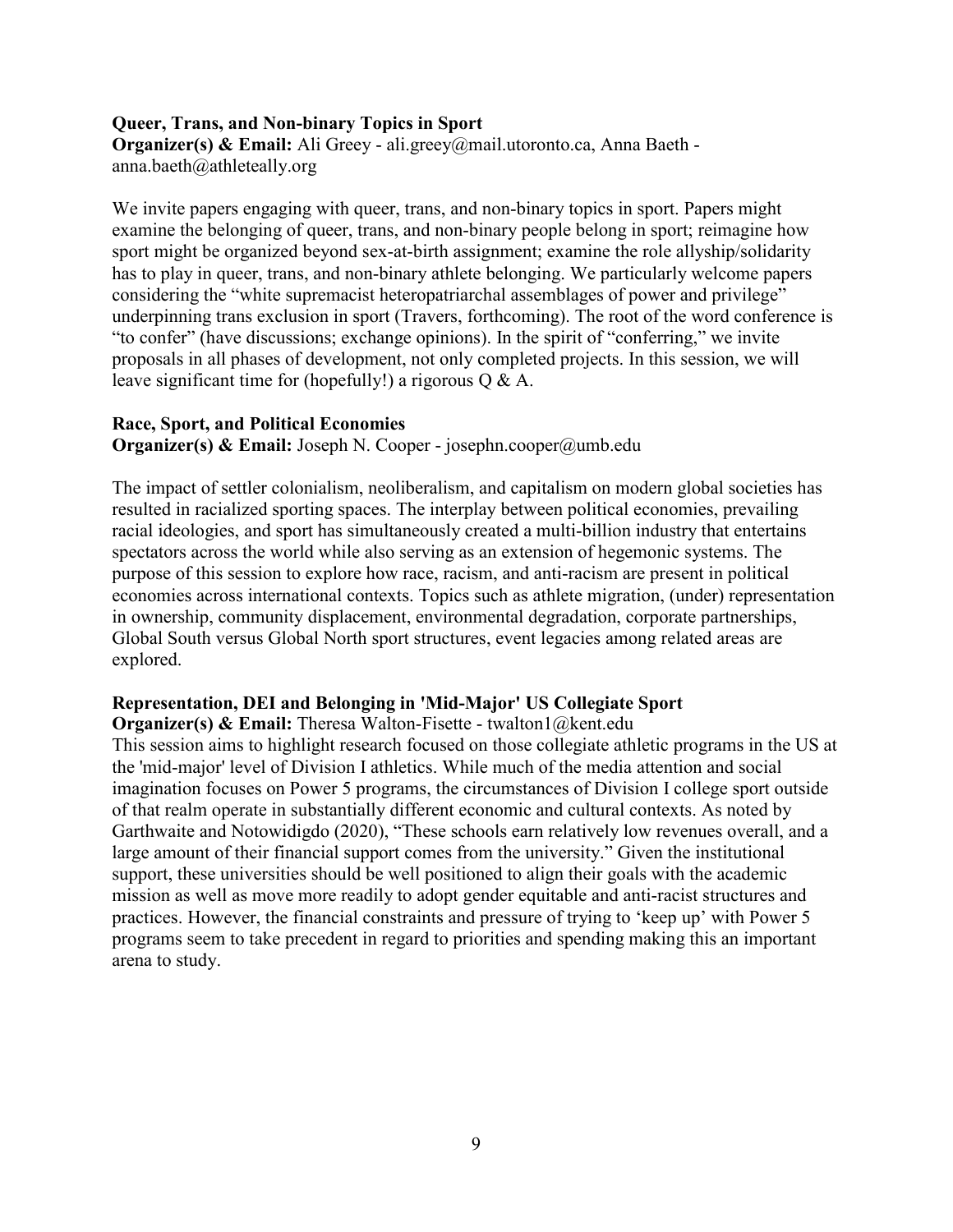#### **Queer, Trans, and Non-binary Topics in Sport**

**Organizer(s) & Email:** Ali Greey - ali.greey@mail.utoronto.ca, Anna Baeth anna.baeth@athleteally.org

We invite papers engaging with queer, trans, and non-binary topics in sport. Papers might examine the belonging of queer, trans, and non-binary people belong in sport; reimagine how sport might be organized beyond sex-at-birth assignment; examine the role allyship/solidarity has to play in queer, trans, and non-binary athlete belonging. We particularly welcome papers considering the "white supremacist heteropatriarchal assemblages of power and privilege" underpinning trans exclusion in sport (Travers, forthcoming). The root of the word conference is "to confer" (have discussions; exchange opinions). In the spirit of "conferring," we invite proposals in all phases of development, not only completed projects. In this session, we will leave significant time for (hopefully!) a rigorous Q & A.

#### **Race, Sport, and Political Economies**

**Organizer(s) & Email:** Joseph N. Cooper - josephn.cooper@umb.edu

The impact of settler colonialism, neoliberalism, and capitalism on modern global societies has resulted in racialized sporting spaces. The interplay between political economies, prevailing racial ideologies, and sport has simultaneously created a multi-billion industry that entertains spectators across the world while also serving as an extension of hegemonic systems. The purpose of this session to explore how race, racism, and anti-racism are present in political economies across international contexts. Topics such as athlete migration, (under) representation in ownership, community displacement, environmental degradation, corporate partnerships, Global South versus Global North sport structures, event legacies among related areas are explored.

#### **Representation, DEI and Belonging in 'Mid-Major' US Collegiate Sport**

**Organizer(s) & Email:** Theresa Walton-Fisette - twalton1@kent.edu

This session aims to highlight research focused on those collegiate athletic programs in the US at the 'mid-major' level of Division I athletics. While much of the media attention and social imagination focuses on Power 5 programs, the circumstances of Division I college sport outside of that realm operate in substantially different economic and cultural contexts. As noted by Garthwaite and Notowidigdo (2020), "These schools earn relatively low revenues overall, and a large amount of their financial support comes from the university." Given the institutional support, these universities should be well positioned to align their goals with the academic mission as well as move more readily to adopt gender equitable and anti-racist structures and practices. However, the financial constraints and pressure of trying to 'keep up' with Power 5 programs seem to take precedent in regard to priorities and spending making this an important arena to study.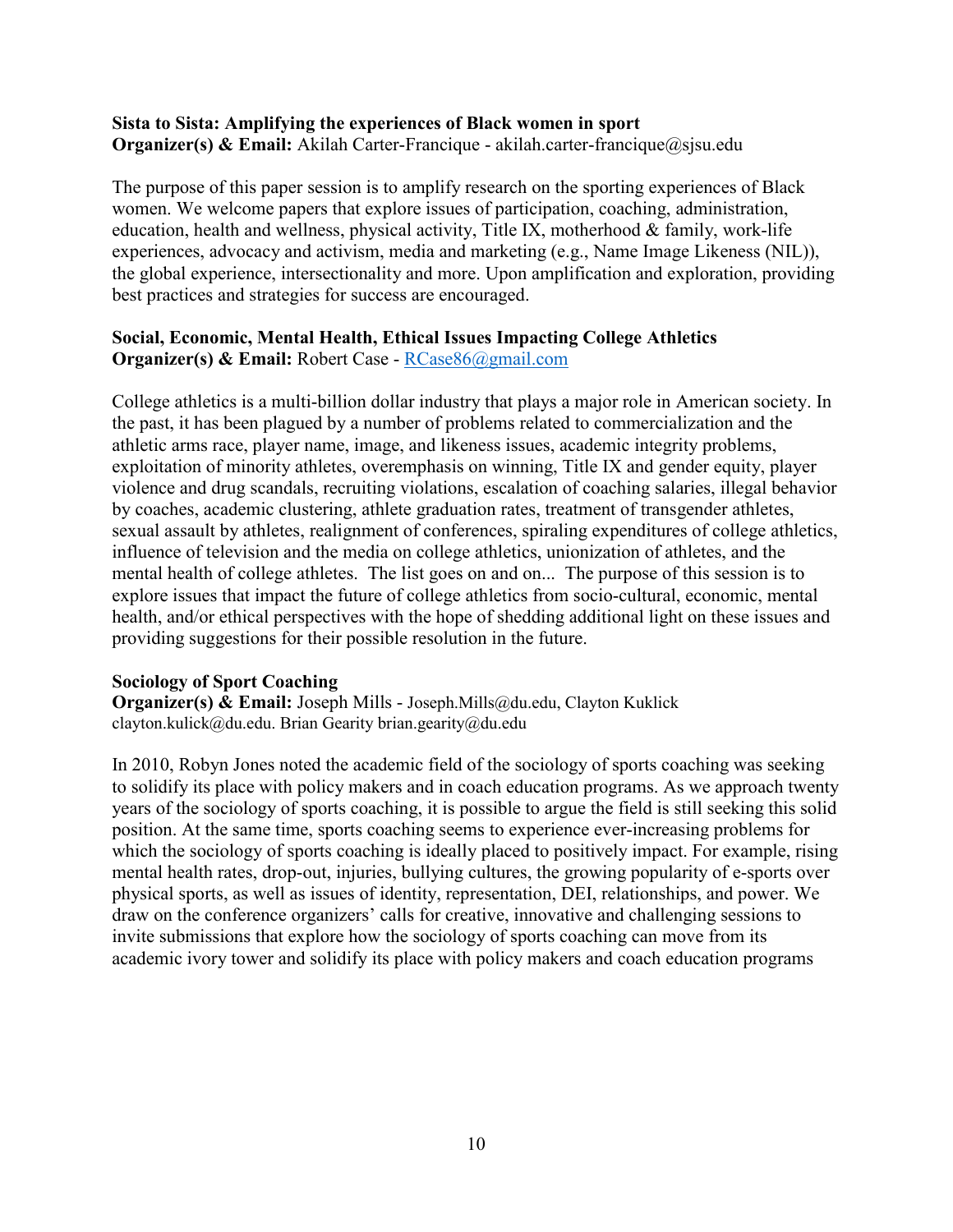#### **Sista to Sista: Amplifying the experiences of Black women in sport Organizer(s) & Email:** Akilah Carter-Francique - akilah.carter-francique@sjsu.edu

The purpose of this paper session is to amplify research on the sporting experiences of Black women. We welcome papers that explore issues of participation, coaching, administration, education, health and wellness, physical activity, Title IX, motherhood  $&$  family, work-life experiences, advocacy and activism, media and marketing (e.g., Name Image Likeness (NIL)), the global experience, intersectionality and more. Upon amplification and exploration, providing best practices and strategies for success are encouraged.

#### **Social, Economic, Mental Health, Ethical Issues Impacting College Athletics Organizer(s) & Email:** Robert Case - [RCase86@gmail.com](mailto:RCase86@gmail.com)

College athletics is a multi-billion dollar industry that plays a major role in American society. In the past, it has been plagued by a number of problems related to commercialization and the athletic arms race, player name, image, and likeness issues, academic integrity problems, exploitation of minority athletes, overemphasis on winning, Title IX and gender equity, player violence and drug scandals, recruiting violations, escalation of coaching salaries, illegal behavior by coaches, academic clustering, athlete graduation rates, treatment of transgender athletes, sexual assault by athletes, realignment of conferences, spiraling expenditures of college athletics, influence of television and the media on college athletics, unionization of athletes, and the mental health of college athletes. The list goes on and on... The purpose of this session is to explore issues that impact the future of college athletics from socio-cultural, economic, mental health, and/or ethical perspectives with the hope of shedding additional light on these issues and providing suggestions for their possible resolution in the future.

#### **Sociology of Sport Coaching**

**Organizer(s) & Email:** Joseph Mills - Joseph.Mills@du.edu, Clayton Kuklick clayton.kulick@du.edu. Brian Gearity brian.gearity@du.edu

In 2010, Robyn Jones noted the academic field of the sociology of sports coaching was seeking to solidify its place with policy makers and in coach education programs. As we approach twenty years of the sociology of sports coaching, it is possible to argue the field is still seeking this solid position. At the same time, sports coaching seems to experience ever-increasing problems for which the sociology of sports coaching is ideally placed to positively impact. For example, rising mental health rates, drop-out, injuries, bullying cultures, the growing popularity of e-sports over physical sports, as well as issues of identity, representation, DEI, relationships, and power. We draw on the conference organizers' calls for creative, innovative and challenging sessions to invite submissions that explore how the sociology of sports coaching can move from its academic ivory tower and solidify its place with policy makers and coach education programs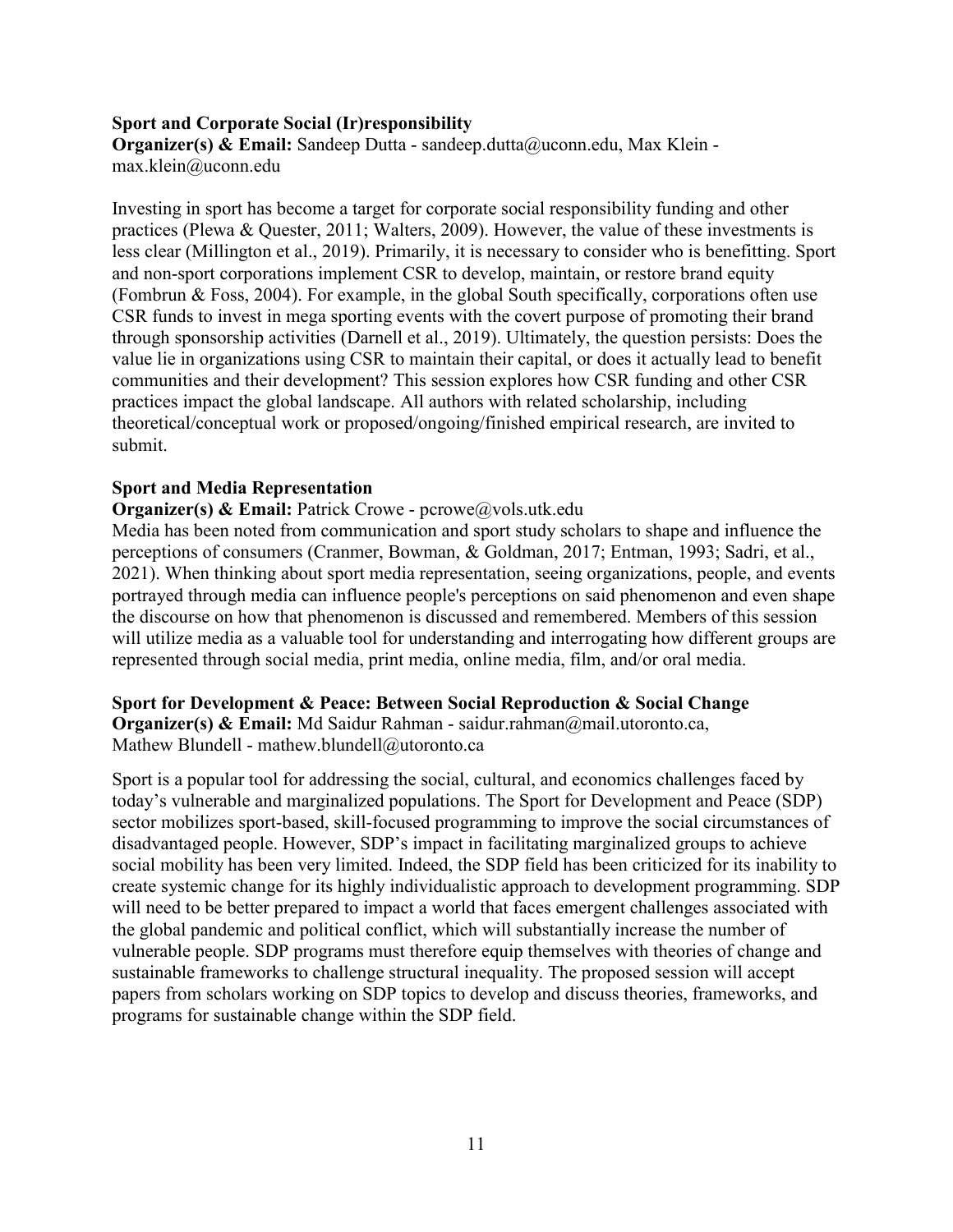#### **Sport and Corporate Social (Ir)responsibility**

**Organizer(s) & Email:** Sandeep Dutta - sandeep.dutta@uconn.edu, Max Klein max.klein@uconn.edu

Investing in sport has become a target for corporate social responsibility funding and other practices (Plewa & Quester, 2011; Walters, 2009). However, the value of these investments is less clear (Millington et al., 2019). Primarily, it is necessary to consider who is benefitting. Sport and non-sport corporations implement CSR to develop, maintain, or restore brand equity (Fombrun & Foss, 2004). For example, in the global South specifically, corporations often use CSR funds to invest in mega sporting events with the covert purpose of promoting their brand through sponsorship activities (Darnell et al., 2019). Ultimately, the question persists: Does the value lie in organizations using CSR to maintain their capital, or does it actually lead to benefit communities and their development? This session explores how CSR funding and other CSR practices impact the global landscape. All authors with related scholarship, including theoretical/conceptual work or proposed/ongoing/finished empirical research, are invited to submit.

#### **Sport and Media Representation**

**Organizer(s) & Email:** Patrick Crowe - pcrowe@vols.utk.edu

Media has been noted from communication and sport study scholars to shape and influence the perceptions of consumers (Cranmer, Bowman, & Goldman, 2017; Entman, 1993; Sadri, et al., 2021). When thinking about sport media representation, seeing organizations, people, and events portrayed through media can influence people's perceptions on said phenomenon and even shape the discourse on how that phenomenon is discussed and remembered. Members of this session will utilize media as a valuable tool for understanding and interrogating how different groups are represented through social media, print media, online media, film, and/or oral media.

#### **Sport for Development & Peace: Between Social Reproduction & Social Change**

**Organizer(s) & Email:** Md Saidur Rahman - saidur.rahman@mail.utoronto.ca, Mathew Blundell - mathew.blundell@utoronto.ca

Sport is a popular tool for addressing the social, cultural, and economics challenges faced by today's vulnerable and marginalized populations. The Sport for Development and Peace (SDP) sector mobilizes sport-based, skill-focused programming to improve the social circumstances of disadvantaged people. However, SDP's impact in facilitating marginalized groups to achieve social mobility has been very limited. Indeed, the SDP field has been criticized for its inability to create systemic change for its highly individualistic approach to development programming. SDP will need to be better prepared to impact a world that faces emergent challenges associated with the global pandemic and political conflict, which will substantially increase the number of vulnerable people. SDP programs must therefore equip themselves with theories of change and sustainable frameworks to challenge structural inequality. The proposed session will accept papers from scholars working on SDP topics to develop and discuss theories, frameworks, and programs for sustainable change within the SDP field.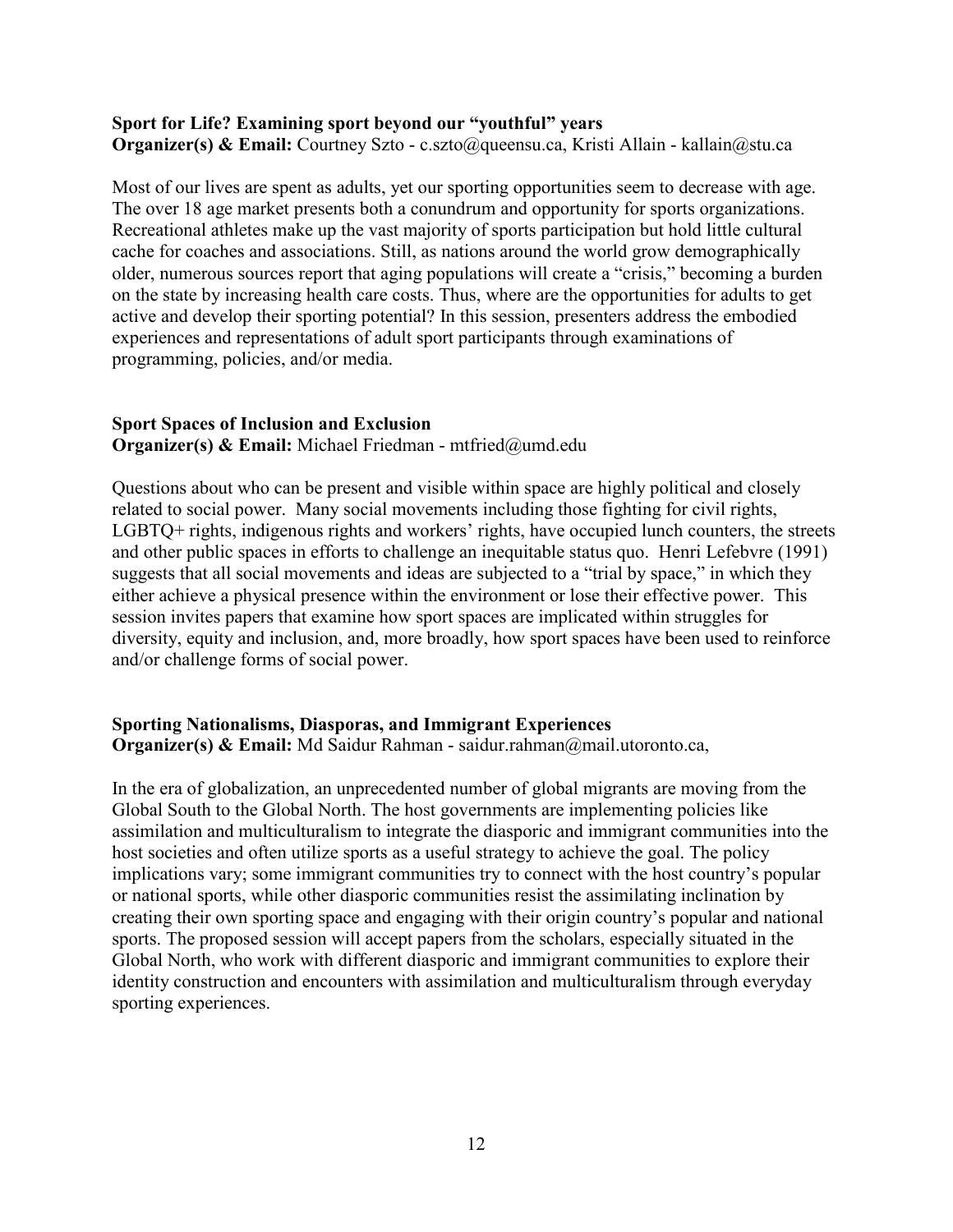#### **Sport for Life? Examining sport beyond our "youthful" years**

**Organizer(s) & Email:** Courtney Szto - c.szto@queensu.ca, Kristi Allain - kallain@stu.ca

Most of our lives are spent as adults, yet our sporting opportunities seem to decrease with age. The over 18 age market presents both a conundrum and opportunity for sports organizations. Recreational athletes make up the vast majority of sports participation but hold little cultural cache for coaches and associations. Still, as nations around the world grow demographically older, numerous sources report that aging populations will create a "crisis," becoming a burden on the state by increasing health care costs. Thus, where are the opportunities for adults to get active and develop their sporting potential? In this session, presenters address the embodied experiences and representations of adult sport participants through examinations of programming, policies, and/or media.

#### **Sport Spaces of Inclusion and Exclusion**

**Organizer(s) & Email:** Michael Friedman - mtfried@umd.edu

Questions about who can be present and visible within space are highly political and closely related to social power. Many social movements including those fighting for civil rights, LGBTQ+ rights, indigenous rights and workers' rights, have occupied lunch counters, the streets and other public spaces in efforts to challenge an inequitable status quo. Henri Lefebvre (1991) suggests that all social movements and ideas are subjected to a "trial by space," in which they either achieve a physical presence within the environment or lose their effective power. This session invites papers that examine how sport spaces are implicated within struggles for diversity, equity and inclusion, and, more broadly, how sport spaces have been used to reinforce and/or challenge forms of social power.

#### **Sporting Nationalisms, Diasporas, and Immigrant Experiences**

**Organizer(s) & Email:** Md Saidur Rahman - saidur.rahman@mail.utoronto.ca,

In the era of globalization, an unprecedented number of global migrants are moving from the Global South to the Global North. The host governments are implementing policies like assimilation and multiculturalism to integrate the diasporic and immigrant communities into the host societies and often utilize sports as a useful strategy to achieve the goal. The policy implications vary; some immigrant communities try to connect with the host country's popular or national sports, while other diasporic communities resist the assimilating inclination by creating their own sporting space and engaging with their origin country's popular and national sports. The proposed session will accept papers from the scholars, especially situated in the Global North, who work with different diasporic and immigrant communities to explore their identity construction and encounters with assimilation and multiculturalism through everyday sporting experiences.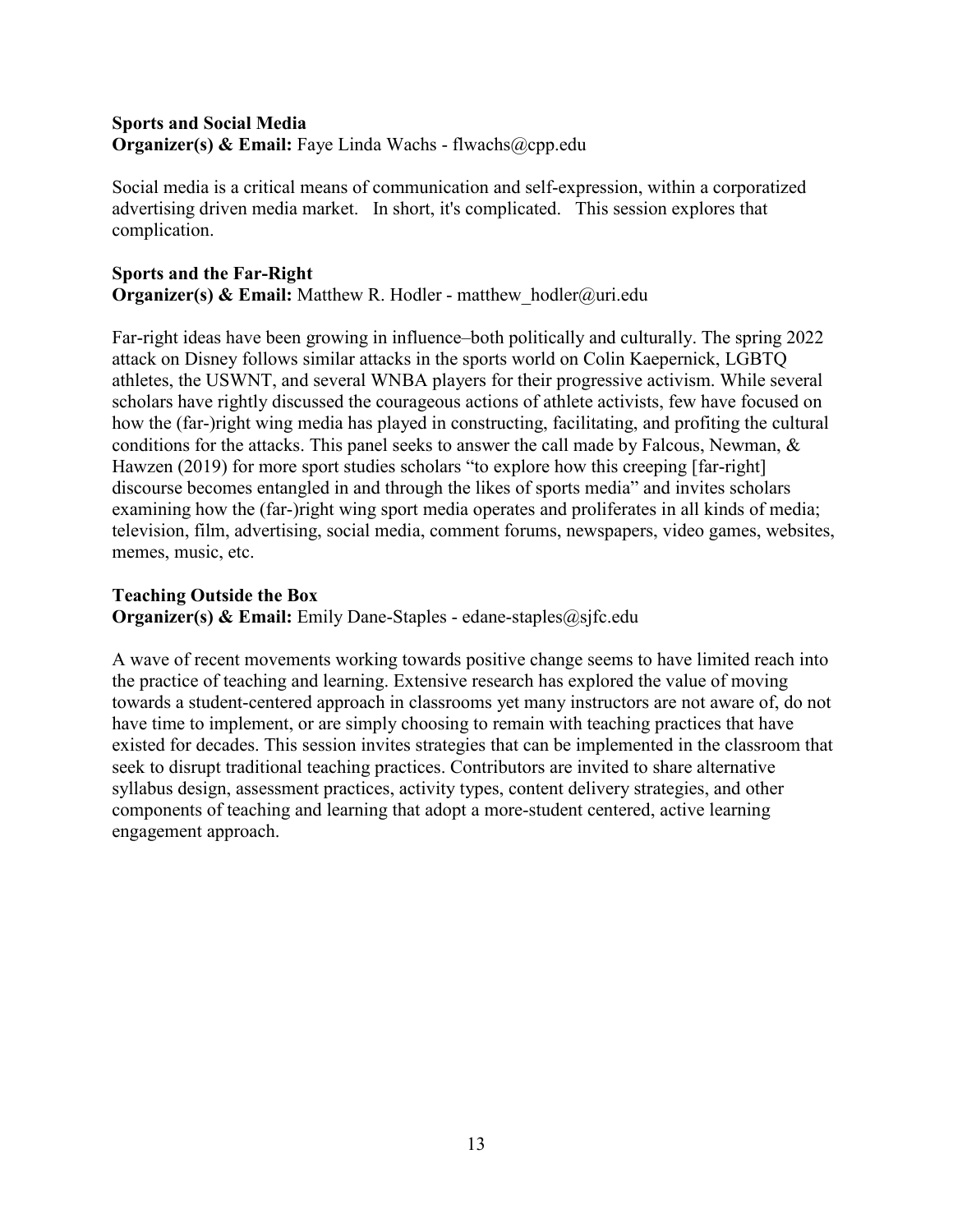## **Sports and Social Media Organizer(s) & Email:** Faye Linda Wachs - flwachs@cpp.edu

Social media is a critical means of communication and self-expression, within a corporatized advertising driven media market. In short, it's complicated. This session explores that complication.

## **Sports and the Far-Right Organizer(s) & Email:** Matthew R. Hodler - matthew hodler@uri.edu

Far-right ideas have been growing in influence–both politically and culturally. The spring 2022 attack on Disney follows similar attacks in the sports world on Colin Kaepernick, LGBTQ athletes, the USWNT, and several WNBA players for their progressive activism. While several scholars have rightly discussed the courageous actions of athlete activists, few have focused on how the (far-)right wing media has played in constructing, facilitating, and profiting the cultural conditions for the attacks. This panel seeks to answer the call made by Falcous, Newman, & Hawzen (2019) for more sport studies scholars "to explore how this creeping [far-right] discourse becomes entangled in and through the likes of sports media" and invites scholars examining how the (far-)right wing sport media operates and proliferates in all kinds of media; television, film, advertising, social media, comment forums, newspapers, video games, websites, memes, music, etc.

## **Teaching Outside the Box**

**Organizer(s) & Email:** Emily Dane-Staples - edane-staples@sjfc.edu

A wave of recent movements working towards positive change seems to have limited reach into the practice of teaching and learning. Extensive research has explored the value of moving towards a student-centered approach in classrooms yet many instructors are not aware of, do not have time to implement, or are simply choosing to remain with teaching practices that have existed for decades. This session invites strategies that can be implemented in the classroom that seek to disrupt traditional teaching practices. Contributors are invited to share alternative syllabus design, assessment practices, activity types, content delivery strategies, and other components of teaching and learning that adopt a more-student centered, active learning engagement approach.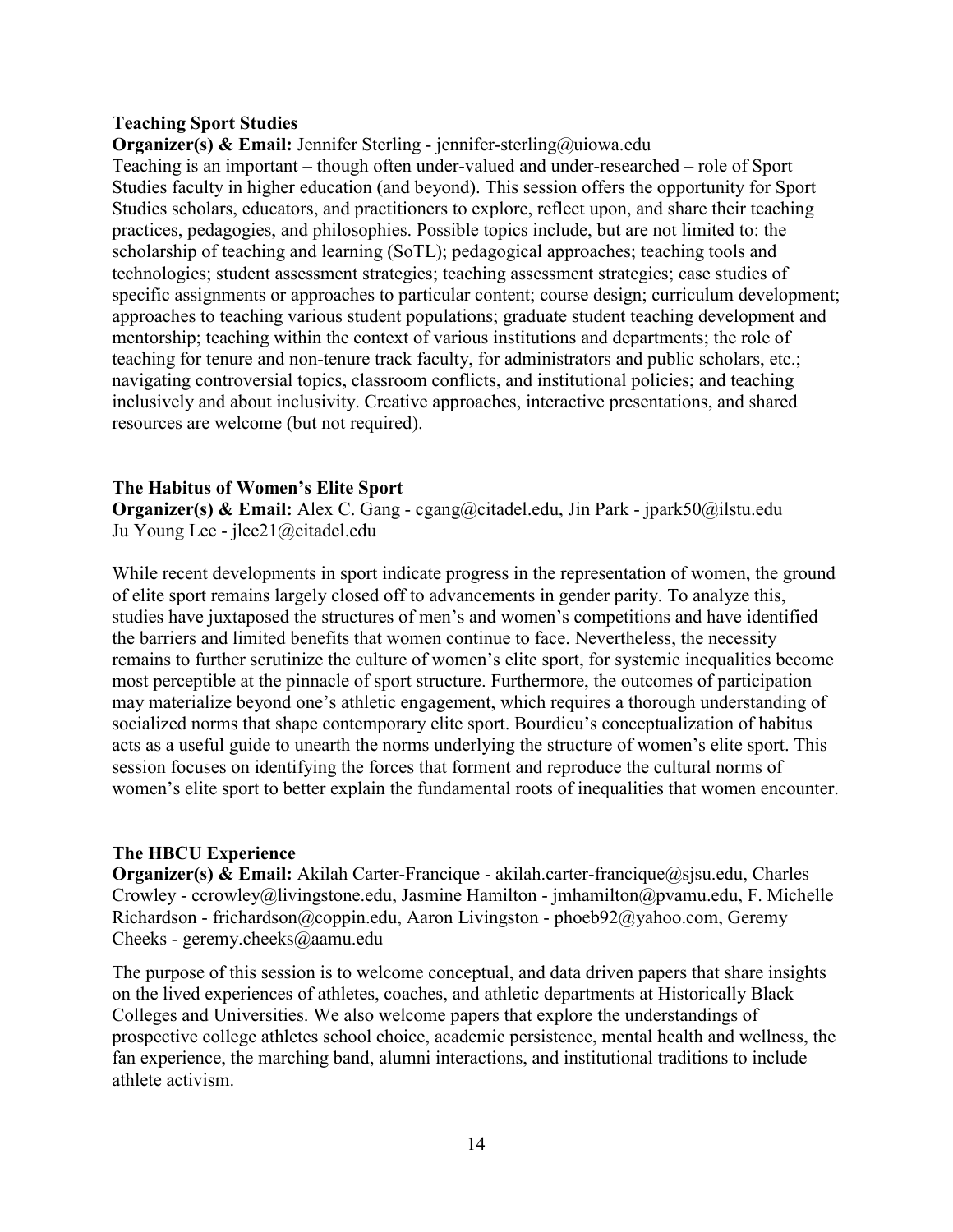#### **Teaching Sport Studies**

**Organizer(s) & Email:** Jennifer Sterling - jennifer-sterling@uiowa.edu Teaching is an important – though often under-valued and under-researched – role of Sport Studies faculty in higher education (and beyond). This session offers the opportunity for Sport Studies scholars, educators, and practitioners to explore, reflect upon, and share their teaching practices, pedagogies, and philosophies. Possible topics include, but are not limited to: the scholarship of teaching and learning (SoTL); pedagogical approaches; teaching tools and technologies; student assessment strategies; teaching assessment strategies; case studies of specific assignments or approaches to particular content; course design; curriculum development; approaches to teaching various student populations; graduate student teaching development and mentorship; teaching within the context of various institutions and departments; the role of teaching for tenure and non-tenure track faculty, for administrators and public scholars, etc.; navigating controversial topics, classroom conflicts, and institutional policies; and teaching inclusively and about inclusivity. Creative approaches, interactive presentations, and shared resources are welcome (but not required).

#### **The Habitus of Women's Elite Sport**

**Organizer(s) & Email:** Alex C. Gang - cgang@citadel.edu, Jin Park - jpark50@ilstu.edu Ju Young Lee - jlee21@citadel.edu

While recent developments in sport indicate progress in the representation of women, the ground of elite sport remains largely closed off to advancements in gender parity. To analyze this, studies have juxtaposed the structures of men's and women's competitions and have identified the barriers and limited benefits that women continue to face. Nevertheless, the necessity remains to further scrutinize the culture of women's elite sport, for systemic inequalities become most perceptible at the pinnacle of sport structure. Furthermore, the outcomes of participation may materialize beyond one's athletic engagement, which requires a thorough understanding of socialized norms that shape contemporary elite sport. Bourdieu's conceptualization of habitus acts as a useful guide to unearth the norms underlying the structure of women's elite sport. This session focuses on identifying the forces that forment and reproduce the cultural norms of women's elite sport to better explain the fundamental roots of inequalities that women encounter.

#### **The HBCU Experience**

**Organizer(s) & Email:** Akilah Carter-Francique - akilah.carter-francique@sjsu.edu, Charles Crowley - ccrowley@livingstone.edu, Jasmine Hamilton - jmhamilton@pvamu.edu, F. Michelle Richardson - frichardson@coppin.edu, Aaron Livingston - phoeb92@yahoo.com, Geremy Cheeks - geremy.cheeks@aamu.edu

The purpose of this session is to welcome conceptual, and data driven papers that share insights on the lived experiences of athletes, coaches, and athletic departments at Historically Black Colleges and Universities. We also welcome papers that explore the understandings of prospective college athletes school choice, academic persistence, mental health and wellness, the fan experience, the marching band, alumni interactions, and institutional traditions to include athlete activism.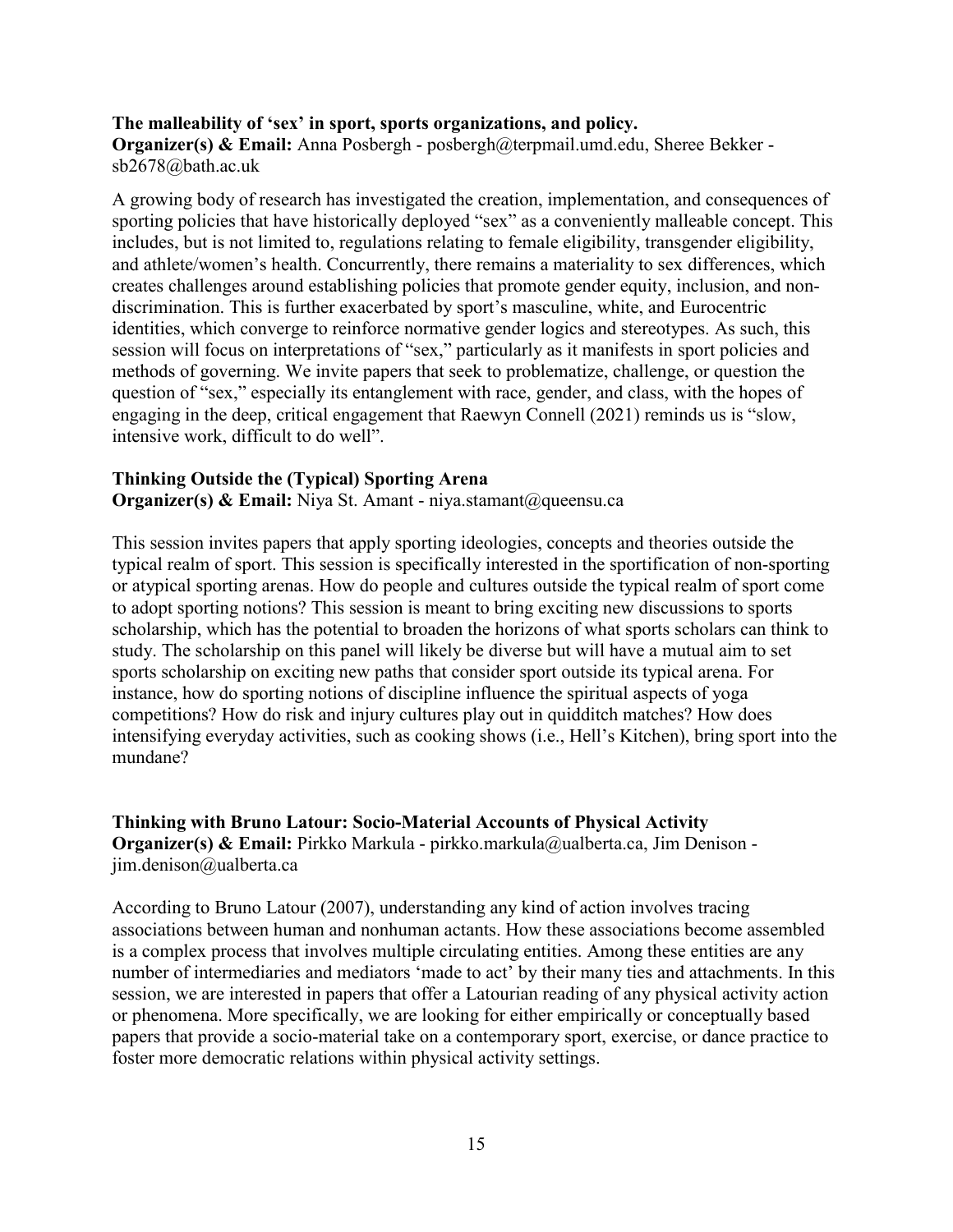#### **The malleability of 'sex' in sport, sports organizations, and policy.**

**Organizer(s) & Email:** Anna Posbergh - posbergh@terpmail.umd.edu, Sheree Bekker sb2678@bath.ac.uk

A growing body of research has investigated the creation, implementation, and consequences of sporting policies that have historically deployed "sex" as a conveniently malleable concept. This includes, but is not limited to, regulations relating to female eligibility, transgender eligibility, and athlete/women's health. Concurrently, there remains a materiality to sex differences, which creates challenges around establishing policies that promote gender equity, inclusion, and nondiscrimination. This is further exacerbated by sport's masculine, white, and Eurocentric identities, which converge to reinforce normative gender logics and stereotypes. As such, this session will focus on interpretations of "sex," particularly as it manifests in sport policies and methods of governing. We invite papers that seek to problematize, challenge, or question the question of "sex," especially its entanglement with race, gender, and class, with the hopes of engaging in the deep, critical engagement that Raewyn Connell (2021) reminds us is "slow, intensive work, difficult to do well".

#### **Thinking Outside the (Typical) Sporting Arena**

**Organizer(s) & Email:** Niya St. Amant - niya.stamant@queensu.ca

This session invites papers that apply sporting ideologies, concepts and theories outside the typical realm of sport. This session is specifically interested in the sportification of non-sporting or atypical sporting arenas. How do people and cultures outside the typical realm of sport come to adopt sporting notions? This session is meant to bring exciting new discussions to sports scholarship, which has the potential to broaden the horizons of what sports scholars can think to study. The scholarship on this panel will likely be diverse but will have a mutual aim to set sports scholarship on exciting new paths that consider sport outside its typical arena. For instance, how do sporting notions of discipline influence the spiritual aspects of yoga competitions? How do risk and injury cultures play out in quidditch matches? How does intensifying everyday activities, such as cooking shows (i.e., Hell's Kitchen), bring sport into the mundane?

#### **Thinking with Bruno Latour: Socio-Material Accounts of Physical Activity Organizer(s) & Email:** Pirkko Markula - pirkko.markula@ualberta.ca, Jim Denison jim.denison@ualberta.ca

According to Bruno Latour (2007), understanding any kind of action involves tracing associations between human and nonhuman actants. How these associations become assembled is a complex process that involves multiple circulating entities. Among these entities are any number of intermediaries and mediators 'made to act' by their many ties and attachments. In this session, we are interested in papers that offer a Latourian reading of any physical activity action or phenomena. More specifically, we are looking for either empirically or conceptually based papers that provide a socio-material take on a contemporary sport, exercise, or dance practice to foster more democratic relations within physical activity settings.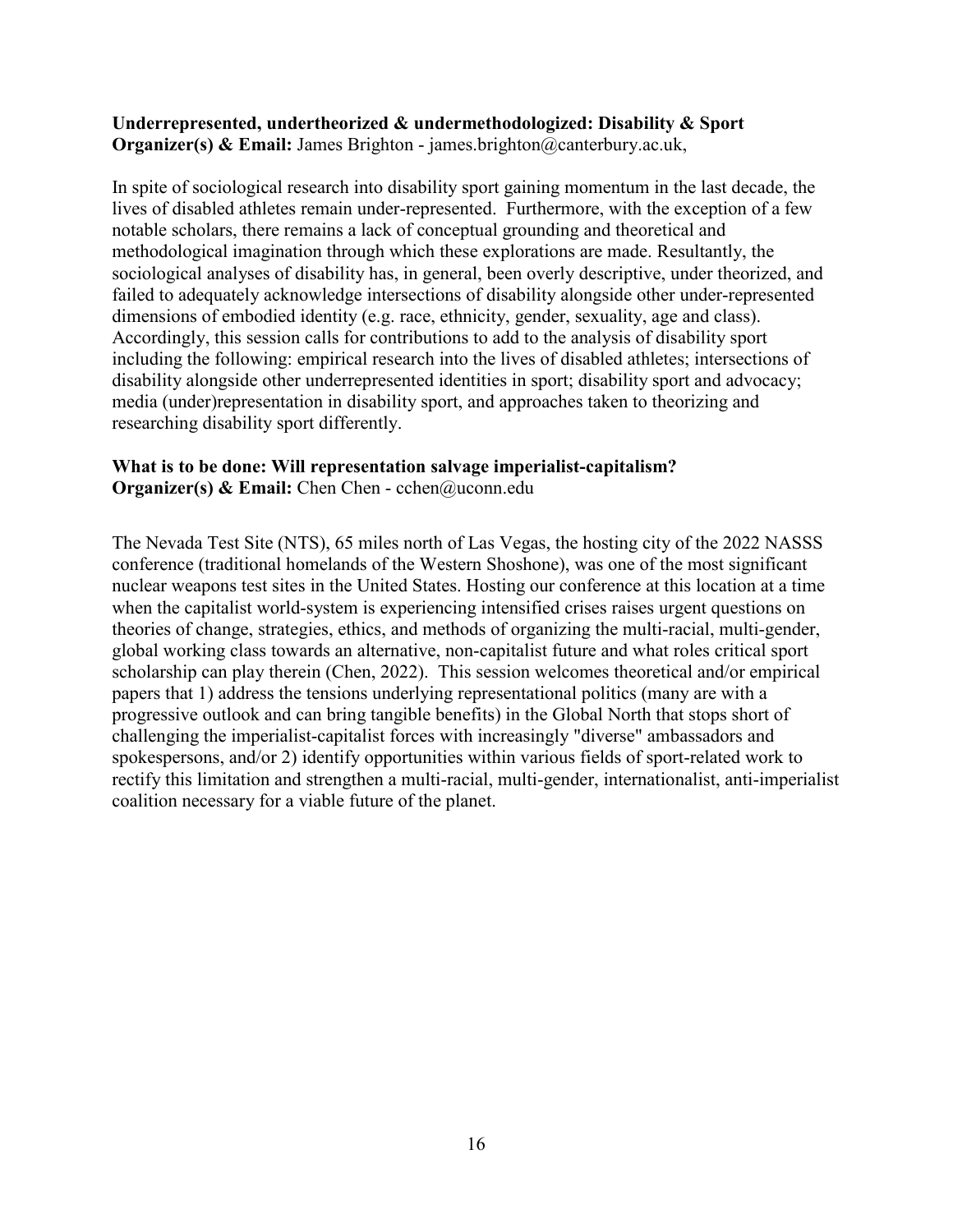#### **Underrepresented, undertheorized & undermethodologized: Disability & Sport Organizer(s) & Email:** James Brighton - james.brighton@canterbury.ac.uk,

In spite of sociological research into disability sport gaining momentum in the last decade, the lives of disabled athletes remain under-represented. Furthermore, with the exception of a few notable scholars, there remains a lack of conceptual grounding and theoretical and methodological imagination through which these explorations are made. Resultantly, the sociological analyses of disability has, in general, been overly descriptive, under theorized, and failed to adequately acknowledge intersections of disability alongside other under-represented dimensions of embodied identity (e.g. race, ethnicity, gender, sexuality, age and class). Accordingly, this session calls for contributions to add to the analysis of disability sport including the following: empirical research into the lives of disabled athletes; intersections of disability alongside other underrepresented identities in sport; disability sport and advocacy; media (under)representation in disability sport, and approaches taken to theorizing and researching disability sport differently.

#### **What is to be done: Will representation salvage imperialist-capitalism? Organizer(s) & Email:** Chen Chen - cchen@uconn.edu

The Nevada Test Site (NTS), 65 miles north of Las Vegas, the hosting city of the 2022 NASSS conference (traditional homelands of the Western Shoshone), was one of the most significant nuclear weapons test sites in the United States. Hosting our conference at this location at a time when the capitalist world-system is experiencing intensified crises raises urgent questions on theories of change, strategies, ethics, and methods of organizing the multi-racial, multi-gender, global working class towards an alternative, non-capitalist future and what roles critical sport scholarship can play therein (Chen, 2022). This session welcomes theoretical and/or empirical papers that 1) address the tensions underlying representational politics (many are with a progressive outlook and can bring tangible benefits) in the Global North that stops short of challenging the imperialist-capitalist forces with increasingly "diverse" ambassadors and spokespersons, and/or 2) identify opportunities within various fields of sport-related work to rectify this limitation and strengthen a multi-racial, multi-gender, internationalist, anti-imperialist coalition necessary for a viable future of the planet.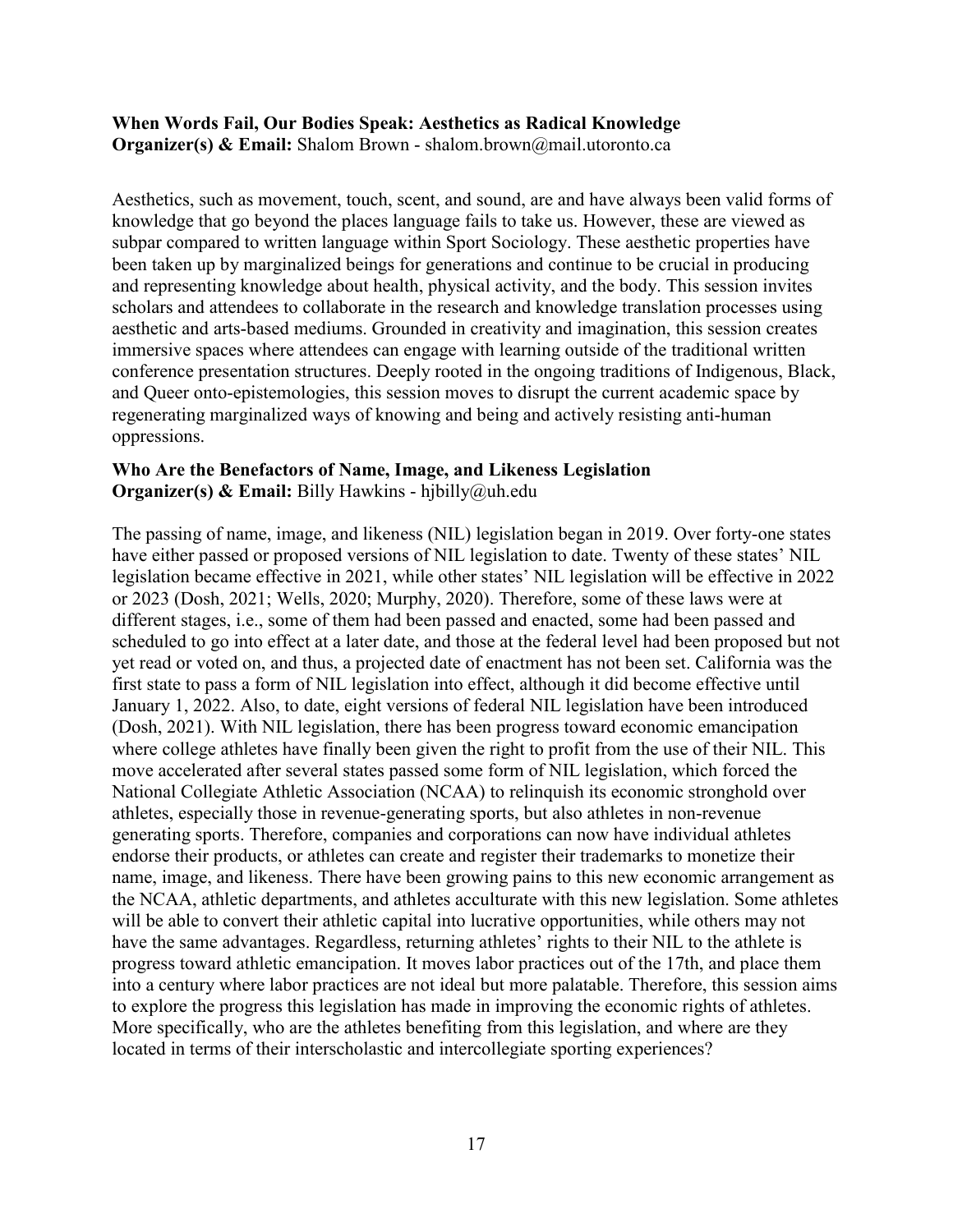#### **When Words Fail, Our Bodies Speak: Aesthetics as Radical Knowledge Organizer(s) & Email:** Shalom Brown - shalom.brown@mail.utoronto.ca

Aesthetics, such as movement, touch, scent, and sound, are and have always been valid forms of knowledge that go beyond the places language fails to take us. However, these are viewed as subpar compared to written language within Sport Sociology. These aesthetic properties have been taken up by marginalized beings for generations and continue to be crucial in producing and representing knowledge about health, physical activity, and the body. This session invites scholars and attendees to collaborate in the research and knowledge translation processes using aesthetic and arts-based mediums. Grounded in creativity and imagination, this session creates immersive spaces where attendees can engage with learning outside of the traditional written conference presentation structures. Deeply rooted in the ongoing traditions of Indigenous, Black, and Queer onto-epistemologies, this session moves to disrupt the current academic space by regenerating marginalized ways of knowing and being and actively resisting anti-human oppressions.

#### **Who Are the Benefactors of Name, Image, and Likeness Legislation Organizer(s) & Email:** Billy Hawkins - hjbilly@uh.edu

The passing of name, image, and likeness (NIL) legislation began in 2019. Over forty-one states have either passed or proposed versions of NIL legislation to date. Twenty of these states' NIL legislation became effective in 2021, while other states' NIL legislation will be effective in 2022 or 2023 (Dosh, 2021; Wells, 2020; Murphy, 2020). Therefore, some of these laws were at different stages, i.e., some of them had been passed and enacted, some had been passed and scheduled to go into effect at a later date, and those at the federal level had been proposed but not yet read or voted on, and thus, a projected date of enactment has not been set. California was the first state to pass a form of NIL legislation into effect, although it did become effective until January 1, 2022. Also, to date, eight versions of federal NIL legislation have been introduced (Dosh, 2021). With NIL legislation, there has been progress toward economic emancipation where college athletes have finally been given the right to profit from the use of their NIL. This move accelerated after several states passed some form of NIL legislation, which forced the National Collegiate Athletic Association (NCAA) to relinquish its economic stronghold over athletes, especially those in revenue-generating sports, but also athletes in non-revenue generating sports. Therefore, companies and corporations can now have individual athletes endorse their products, or athletes can create and register their trademarks to monetize their name, image, and likeness. There have been growing pains to this new economic arrangement as the NCAA, athletic departments, and athletes acculturate with this new legislation. Some athletes will be able to convert their athletic capital into lucrative opportunities, while others may not have the same advantages. Regardless, returning athletes' rights to their NIL to the athlete is progress toward athletic emancipation. It moves labor practices out of the 17th, and place them into a century where labor practices are not ideal but more palatable. Therefore, this session aims to explore the progress this legislation has made in improving the economic rights of athletes. More specifically, who are the athletes benefiting from this legislation, and where are they located in terms of their interscholastic and intercollegiate sporting experiences?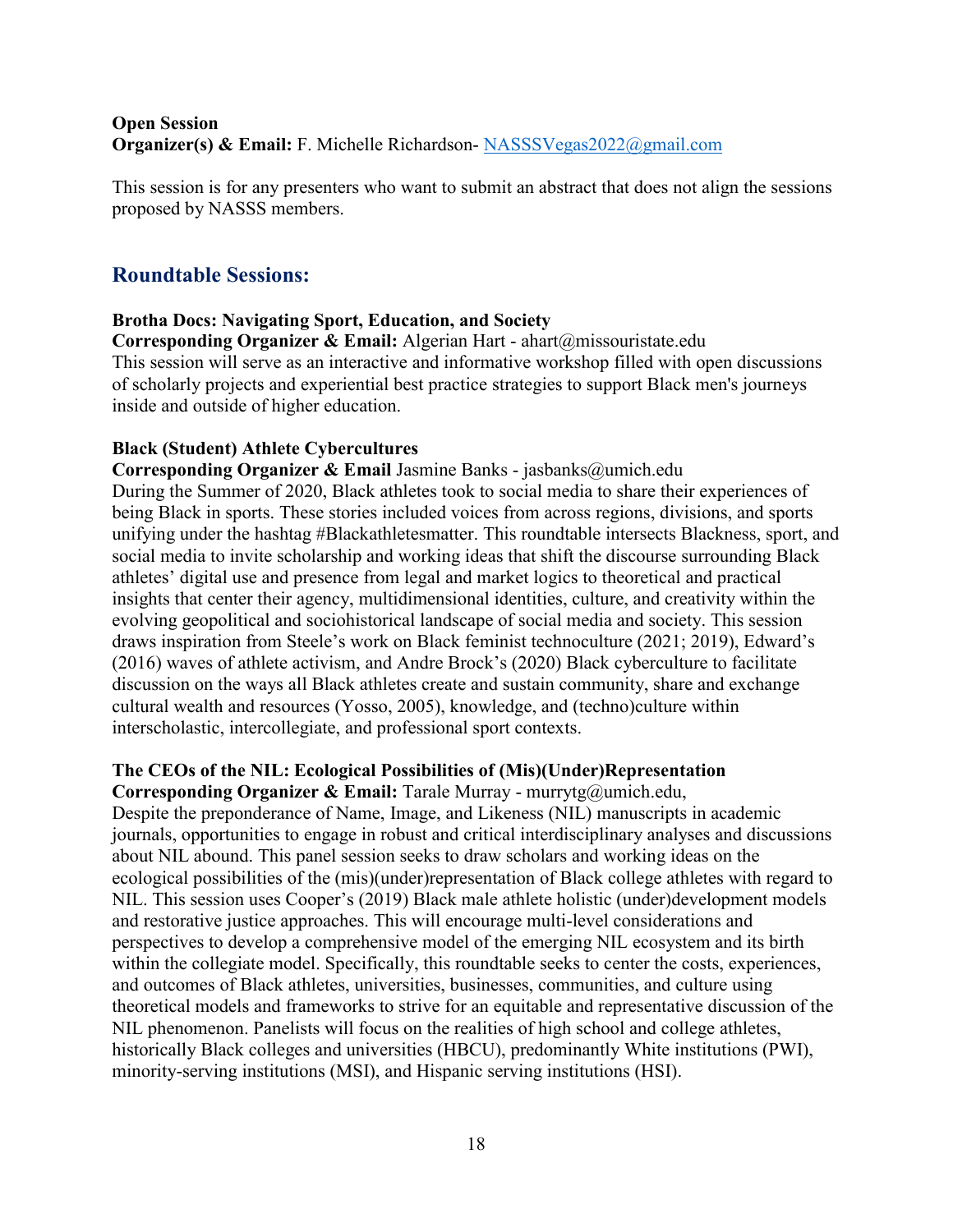## **Open Session Organizer(s) & Email:** F. Michelle Richardson-[NASSSVegas2022@gmail.com](mailto:NASSSVegas2022@gmail.com)

This session is for any presenters who want to submit an abstract that does not align the sessions proposed by NASSS members.

## **Roundtable Sessions:**

## **Brotha Docs: Navigating Sport, Education, and Society**

**Corresponding Organizer & Email:** Algerian Hart - ahart@missouristate.edu This session will serve as an interactive and informative workshop filled with open discussions of scholarly projects and experiential best practice strategies to support Black men's journeys inside and outside of higher education.

## **Black (Student) Athlete Cybercultures**

**Corresponding Organizer & Email** Jasmine Banks - jasbanks@umich.edu During the Summer of 2020, Black athletes took to social media to share their experiences of being Black in sports. These stories included voices from across regions, divisions, and sports unifying under the hashtag #Blackathletesmatter. This roundtable intersects Blackness, sport, and social media to invite scholarship and working ideas that shift the discourse surrounding Black athletes' digital use and presence from legal and market logics to theoretical and practical insights that center their agency, multidimensional identities, culture, and creativity within the evolving geopolitical and sociohistorical landscape of social media and society. This session draws inspiration from Steele's work on Black feminist technoculture (2021; 2019), Edward's (2016) waves of athlete activism, and Andre Brock's (2020) Black cyberculture to facilitate discussion on the ways all Black athletes create and sustain community, share and exchange cultural wealth and resources (Yosso, 2005), knowledge, and (techno)culture within interscholastic, intercollegiate, and professional sport contexts.

## **The CEOs of the NIL: Ecological Possibilities of (Mis)(Under)Representation**

**Corresponding Organizer & Email:** Tarale Murray - murrytg@umich.edu, Despite the preponderance of Name, Image, and Likeness (NIL) manuscripts in academic journals, opportunities to engage in robust and critical interdisciplinary analyses and discussions about NIL abound. This panel session seeks to draw scholars and working ideas on the ecological possibilities of the (mis)(under)representation of Black college athletes with regard to NIL. This session uses Cooper's (2019) Black male athlete holistic (under)development models and restorative justice approaches. This will encourage multi-level considerations and perspectives to develop a comprehensive model of the emerging NIL ecosystem and its birth within the collegiate model. Specifically, this roundtable seeks to center the costs, experiences, and outcomes of Black athletes, universities, businesses, communities, and culture using theoretical models and frameworks to strive for an equitable and representative discussion of the NIL phenomenon. Panelists will focus on the realities of high school and college athletes, historically Black colleges and universities (HBCU), predominantly White institutions (PWI), minority-serving institutions (MSI), and Hispanic serving institutions (HSI).